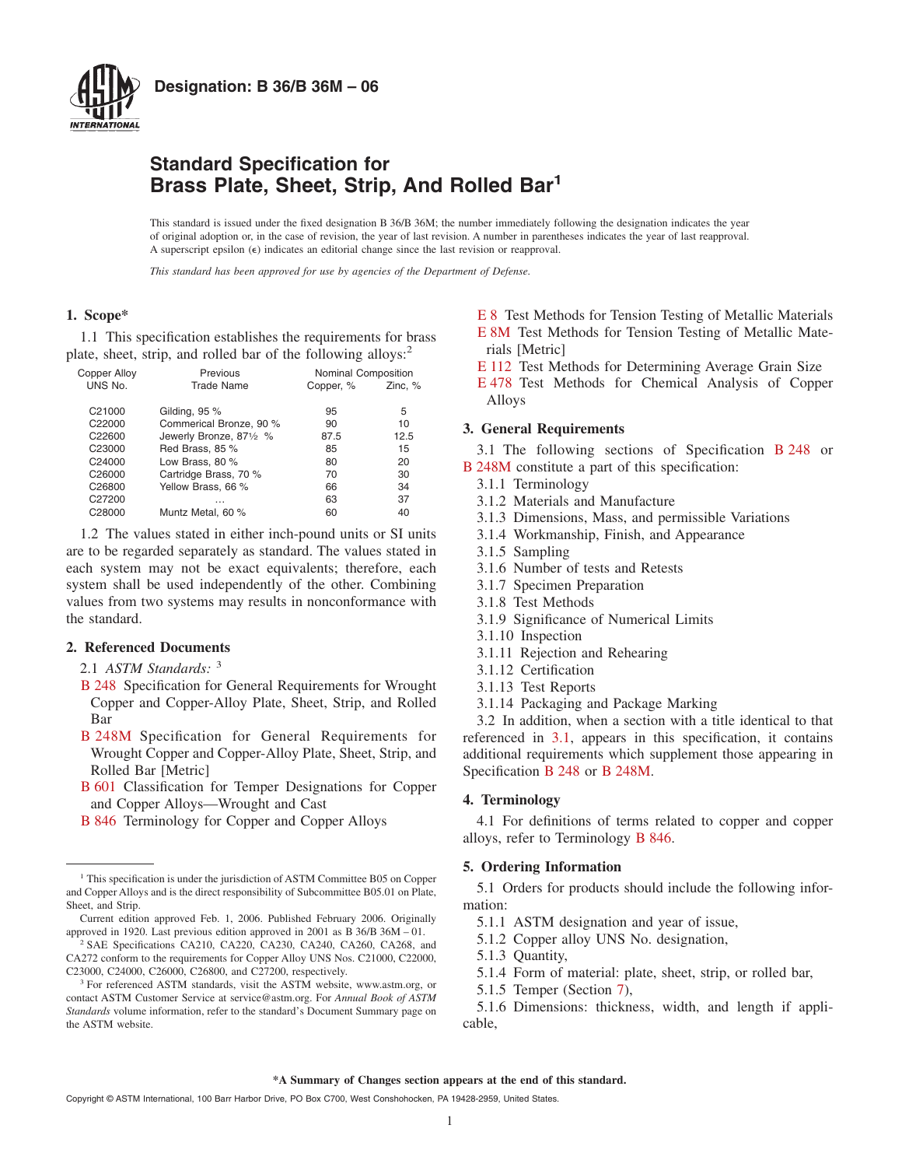

### **Standard Specification for Brass Plate, Sheet, Strip, And Rolled Bar1**

This standard is issued under the fixed designation B 36/B 36M; the number immediately following the designation indicates the year of original adoption or, in the case of revision, the year of last revision. A number in parentheses indicates the year of last reapproval. A superscript epsilon ( $\epsilon$ ) indicates an editorial change since the last revision or reapproval.

*This standard has been approved for use by agencies of the Department of Defense.*

### **1. Scope\***

1.1 This specification establishes the requirements for brass plate, sheet, strip, and rolled bar of the following alloys:<sup>2</sup>

| <b>Copper Alloy</b> | Previous                | Nominal Composition |         |
|---------------------|-------------------------|---------------------|---------|
| UNS No.             | <b>Trade Name</b>       | Copper, %           | Zinc, % |
| C21000              | Gilding, 95 %           | 95                  | 5       |
| C22000              | Commerical Bronze, 90 % | 90                  | 10      |
| C22600              | Jewerly Bronze, 871/2 % | 87.5                | 12.5    |
| C23000              | Red Brass, 85 %         | 85                  | 15      |
| C24000              | Low Brass, 80 %         | 80                  | 20      |
| C26000              | Cartridge Brass, 70 %   | 70                  | 30      |
| C26800              | Yellow Brass, 66 %      | 66                  | 34      |
| C27200              | $\cdots$                | 63                  | 37      |
| C28000              | Muntz Metal, 60 %       | 60                  | 40      |

1.2 The values stated in either inch-pound units or SI units are to be regarded separately as standard. The values stated in each system may not be exact equivalents; therefore, each system shall be used independently of the other. Combining values from two systems may results in nonconformance with the standard.

### **2. Referenced Documents**

2.1 *ASTM Standards:* <sup>3</sup>

- [B 248](#page-0-0) Specification for General Requirements for Wrought Copper and Copper-Alloy Plate, Sheet, Strip, and Rolled Bar
- [B 248M](#page-0-1) Specification for General Requirements for Wrought Copper and Copper-Alloy Plate, Sheet, Strip, and Rolled Bar [Metric]
- [B 601](#page-1-0) Classification for Temper Designations for Copper and Copper Alloys—Wrought and Cast
- [B 846](#page-0-2) Terminology for Copper and Copper Alloys

<span id="page-0-8"></span><span id="page-0-7"></span>[E 8](#page-1-1) Test Methods for Tension Testing of Metallic Materials [E 8M](#page-1-2) Test Methods for Tension Testing of Metallic Materials [Metric]

<span id="page-0-12"></span><span id="page-0-6"></span>[E 112](#page-1-3) Test Methods for Determining Average Grain Size

[E 478](#page-6-0) Test Methods for Chemical Analysis of Copper Alloys

### <span id="page-0-0"></span>**3. General Requirements**

<span id="page-0-1"></span>3.1 The following sections of Specification [B 248](#page-0-3) or [B 248M](#page-0-3) constitute a part of this specification:

- 3.1.1 Terminology
- 3.1.2 Materials and Manufacture
- 3.1.3 Dimensions, Mass, and permissible Variations
- 3.1.4 Workmanship, Finish, and Appearance
- 3.1.5 Sampling
- 3.1.6 Number of tests and Retests
- 3.1.7 Specimen Preparation
- 3.1.8 Test Methods
- 3.1.9 Significance of Numerical Limits
- 3.1.10 Inspection
- 3.1.11 Rejection and Rehearing
- <span id="page-0-9"></span>3.1.12 Certification
- 3.1.13 Test Reports
- <span id="page-0-11"></span><span id="page-0-10"></span><span id="page-0-4"></span>3.1.14 Packaging and Package Marking

<span id="page-0-3"></span>3.2 In addition, when a section with a title identical to that referenced in [3.1,](#page-0-0) appears in this specification, it contains additional requirements which supplement those appearing in Specification [B 248](#page-1-4) or [B 248M.](#page-1-4)

### **4. Terminology**

<span id="page-0-2"></span>4.1 For definitions of terms related to copper and copper alloys, refer to Terminology [B 846.](#page-0-4)

### **5. Ordering Information**

5.1 Orders for products should include the following information:

- 5.1.1 ASTM designation and year of issue,
- 5.1.2 Copper alloy UNS No. designation,
- 5.1.3 Quantity,
- <span id="page-0-5"></span>5.1.4 Form of material: plate, sheet, strip, or rolled bar,
- 5.1.5 Temper (Section [7\)](#page-1-5),

5.1.6 Dimensions: thickness, width, and length if applicable,

<sup>&</sup>lt;sup>1</sup> This specification is under the jurisdiction of ASTM Committee B05 on Copper and Copper Alloys and is the direct responsibility of Subcommittee B05.01 on Plate, Sheet, and Strip.

Current edition approved Feb. 1, 2006. Published February 2006. Originally approved in 1920. Last previous edition approved in 2001 as B 36/B 36M – 01.

<sup>2</sup> SAE Specifications CA210, CA220, CA230, CA240, CA260, CA268, and CA272 conform to the requirements for Copper Alloy UNS Nos. C21000, C22000, C23000, C24000, C26000, C26800, and C27200, respectively.

<sup>&</sup>lt;sup>3</sup> For referenced ASTM standards, visit the ASTM website, www.astm.org, or contact ASTM Customer Service at service@astm.org. For *Annual Book of ASTM Standards* volume information, refer to the standard's Document Summary page on the ASTM website.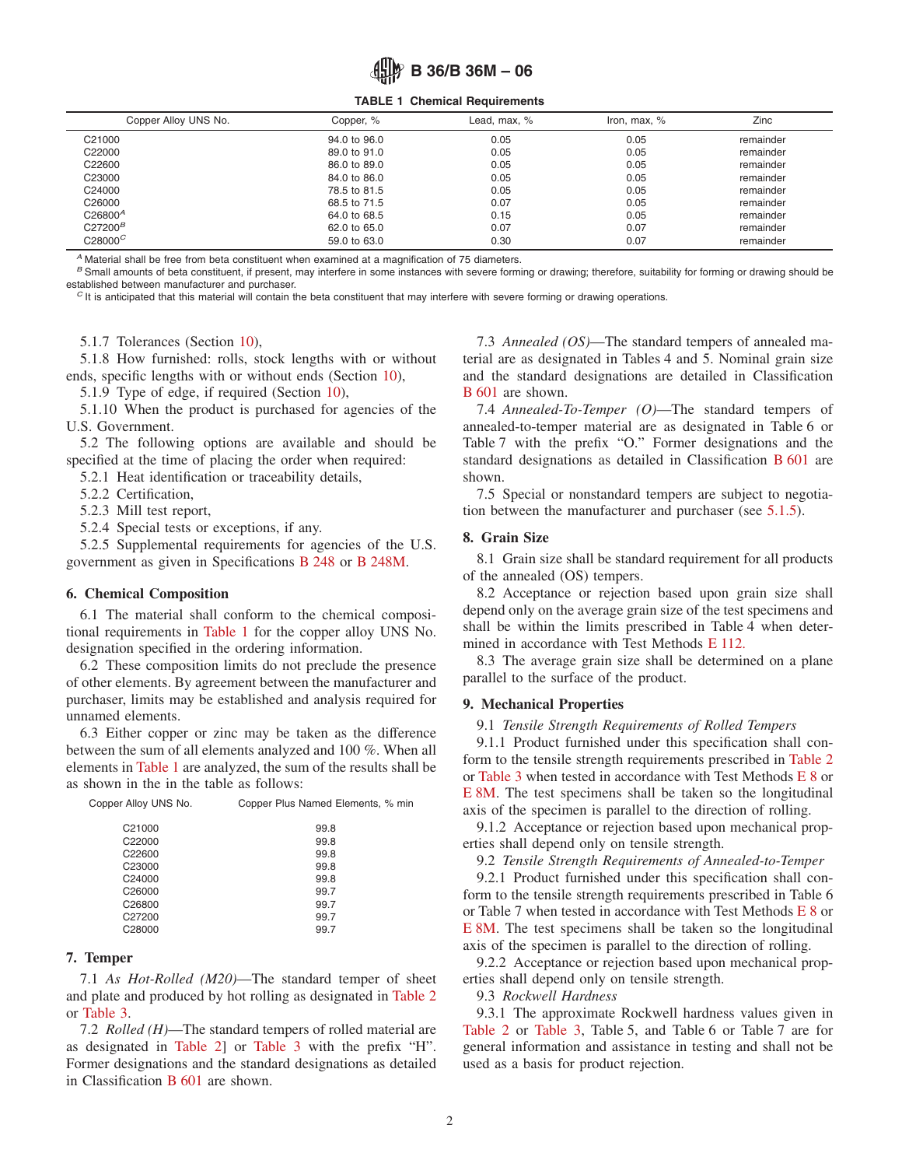**TABLE 1 Chemical Requirements**

| Copper Alloy UNS No. | Copper, %    | Lead, max, % | Iron, max, % | Zinc      |
|----------------------|--------------|--------------|--------------|-----------|
| C21000               | 94.0 to 96.0 | 0.05         | 0.05         | remainder |
| C22000               | 89.0 to 91.0 | 0.05         | 0.05         | remainder |
| C22600               | 86.0 to 89.0 | 0.05         | 0.05         | remainder |
| C23000               | 84.0 to 86.0 | 0.05         | 0.05         | remainder |
| C24000               | 78.5 to 81.5 | 0.05         | 0.05         | remainder |
| C <sub>26000</sub>   | 68.5 to 71.5 | 0.07         | 0.05         | remainder |
| C26800 <sup>A</sup>  | 64.0 to 68.5 | 0.15         | 0.05         | remainder |
| C27200 <sup>B</sup>  | 62.0 to 65.0 | 0.07         | 0.07         | remainder |
| $C28000^C$           | 59.0 to 63.0 | 0.30         | 0.07         | remainder |
|                      |              |              |              |           |

*<sup>A</sup>* Material shall be free from beta constituent when examined at a magnification of 75 diameters.

<sup>B</sup> Small amounts of beta constituent, if present, may interfere in some instances with severe forming or drawing; therefore, suitability for forming or drawing should be established between manufacturer and purchaser.

 $c$  It is anticipated that this material will contain the beta constituent that may interfere with severe forming or drawing operations.

5.1.7 Tolerances (Section [10\)](#page-5-0),

5.1.8 How furnished: rolls, stock lengths with or without ends, specific lengths with or without ends (Section [10\)](#page-5-0),

5.1.9 Type of edge, if required (Section [10\)](#page-5-0),

5.1.10 When the product is purchased for agencies of the U.S. Government.

5.2 The following options are available and should be specified at the time of placing the order when required:

5.2.1 Heat identification or traceability details,

5.2.2 Certification,

5.2.3 Mill test report,

5.2.4 Special tests or exceptions, if any.

5.2.5 Supplemental requirements for agencies of the U.S. government as given in Specifications [B 248](#page-5-1) or [B 248M.](#page-5-2)

#### **6. Chemical Composition**

6.1 The material shall conform to the chemical compositional requirements in [Table 1](#page-1-6) for the copper alloy UNS No. designation specified in the ordering information.

6.2 These composition limits do not preclude the presence of other elements. By agreement between the manufacturer and purchaser, limits may be established and analysis required for unnamed elements.

6.3 Either copper or zinc may be taken as the difference between the sum of all elements analyzed and 100 %. When all elements in [Table 1](#page-1-6) are analyzed, the sum of the results shall be as shown in the in the table as follows:

| Copper Alloy UNS No. | Copper Plus Named Elements, % min |  |  |  |  |  |
|----------------------|-----------------------------------|--|--|--|--|--|
| C <sub>21000</sub>   | 99.8                              |  |  |  |  |  |
| C22000               | 99.8                              |  |  |  |  |  |
| C <sub>22600</sub>   | 99.8                              |  |  |  |  |  |
| C <sub>23000</sub>   | 99.8                              |  |  |  |  |  |
| C <sub>24000</sub>   | 99.8                              |  |  |  |  |  |
| C <sub>26000</sub>   | 99.7                              |  |  |  |  |  |
| C <sub>26800</sub>   | 99.7                              |  |  |  |  |  |
| C27200               | 99.7                              |  |  |  |  |  |
| C28000               | 99.7                              |  |  |  |  |  |
|                      |                                   |  |  |  |  |  |

### **7. Temper**

7.1 *As Hot-Rolled (M20)*—The standard temper of sheet and plate and produced by hot rolling as designated in [Table 2](#page-2-0) or [Table 3.](#page-3-0)

7.2 *Rolled (H)*—The standard tempers of rolled material are as designated in [Table 2\]](#page-2-0) or [Table 3](#page-3-0) with the prefix "H". Former designations and the standard designations as detailed in Classification [B 601](#page-1-7) are shown.

<span id="page-1-6"></span>7.3 *Annealed (OS)*—The standard tempers of annealed material are as designated in Tables 4 and 5. Nominal grain size and the standard designations are detailed in Classification [B 601](#page-1-8) are shown.

<span id="page-1-7"></span>7.4 *Annealed-To-Temper (O)*—The standard tempers of annealed-to-temper material are as designated in Table 6 or Table 7 with the prefix "O." Former designations and the standard designations as detailed in Classification [B 601](#page-5-3) are shown.

<span id="page-1-8"></span>7.5 Special or nonstandard tempers are subject to negotiation between the manufacturer and purchaser (see [5.1.5\)](#page-0-5).

### <span id="page-1-4"></span>**8. Grain Size**

8.1 Grain size shall be standard requirement for all products of the annealed (OS) tempers.

8.2 Acceptance or rejection based upon grain size shall depend only on the average grain size of the test specimens and shall be within the limits prescribed in Table 4 when determined in accordance with Test Methods [E 112.](#page-0-6)

<span id="page-1-3"></span>8.3 The average grain size shall be determined on a plane parallel to the surface of the product.

### **9. Mechanical Properties**

9.1 *Tensile Strength Requirements of Rolled Tempers*

<span id="page-1-1"></span>9.1.1 Product furnished under this specification shall conform to the tensile strength requirements prescribed in [Table 2](#page-2-0) or [Table 3](#page-3-0) when tested in accordance with Test Methods [E 8](#page-1-9) or [E 8M.](#page-1-10) The test specimens shall be taken so the longitudinal axis of the specimen is parallel to the direction of rolling.

<span id="page-1-2"></span>9.1.2 Acceptance or rejection based upon mechanical properties shall depend only on tensile strength.

<span id="page-1-5"></span>9.2 *Tensile Strength Requirements of Annealed-to-Temper*

<span id="page-1-9"></span>9.2.1 Product furnished under this specification shall conform to the tensile strength requirements prescribed in Table 6 or Table 7 when tested in accordance with Test Methods [E 8](#page-0-7) or [E 8M.](#page-0-8) The test specimens shall be taken so the longitudinal axis of the specimen is parallel to the direction of rolling.

<span id="page-1-10"></span>9.2.2 Acceptance or rejection based upon mechanical properties shall depend only on tensile strength.

<span id="page-1-0"></span>9.3 *Rockwell Hardness*

9.3.1 The approximate Rockwell hardness values given in [Table 2](#page-2-0) or [Table 3,](#page-3-0) Table 5, and Table 6 or Table 7 are for general information and assistance in testing and shall not be used as a basis for product rejection.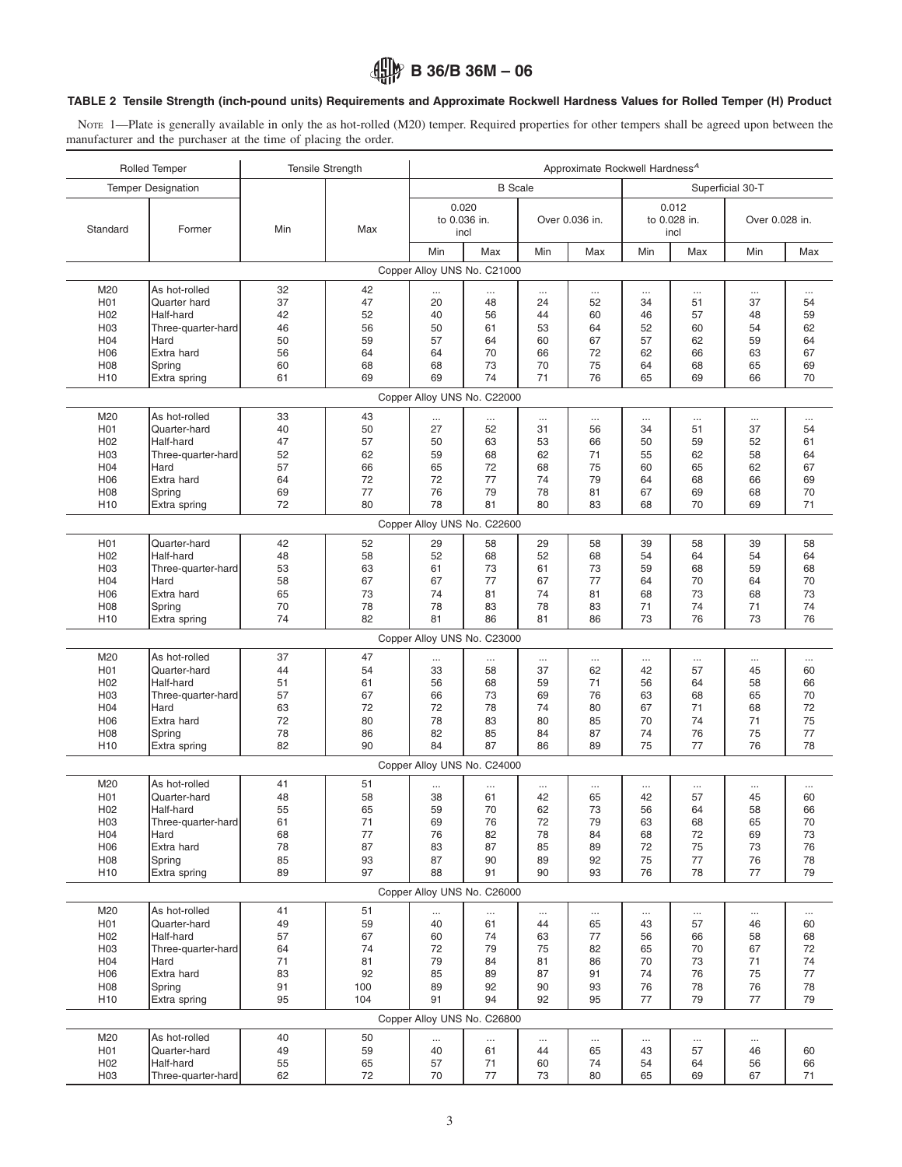### <span id="page-2-0"></span>**TABLE 2 Tensile Strength (inch-pound units) Requirements and Approximate Rockwell Hardness Values for Rolled Temper (H) Product**

NOTE 1—Plate is generally available in only the as hot-rolled (M20) temper. Required properties for other tempers shall be agreed upon between the manufacturer and the purchaser at the time of placing the order.

| <b>B</b> Scale<br>Superficial 30-T<br><b>Temper Designation</b><br>0.020<br>0.012<br>to 0.028 in.<br>to 0.036 in.<br>Over 0.036 in.<br>Over 0.028 in.<br>Standard<br>Min<br>Former<br>Max<br>incl<br>incl<br>Min<br>Max<br>Min<br>Min<br>Max<br>Min<br>Max<br>Max<br>Copper Alloy UNS No. C21000<br>M20<br>As hot-rolled<br>32<br>42<br><br><br>H <sub>0</sub> 1<br>Quarter hard<br>37<br>47<br>20<br>48<br>24<br>52<br>34<br>51<br>37<br>54<br>42<br>52<br>48<br>59<br>H <sub>02</sub><br>Half-hard<br>40<br>56<br>44<br>60<br>46<br>57<br>46<br>56<br>62<br>H <sub>03</sub><br>Three-quarter-hard<br>50<br>61<br>53<br>64<br>52<br>60<br>54<br>50<br>59<br>57<br>64<br>60<br>67<br>57<br>62<br>59<br>H <sub>04</sub><br>Hard<br>64<br>H06<br>Extra hard<br>56<br>64<br>70<br>66<br>72<br>62<br>66<br>63<br>67<br>64<br>60<br>73<br>75<br>H <sub>08</sub><br>Spring<br>68<br>68<br>70<br>64<br>68<br>65<br>69<br>61<br>69<br>74<br>71<br>76<br>70<br>69<br>65<br>69<br>66<br>H <sub>10</sub><br>Extra spring<br>Copper Alloy UNS No. C22000<br>As hot-rolled<br>33<br>43<br>M20<br><br>$\cdots$<br><br>$\cdots$<br>$\cdots$<br>$\cdots$<br>$\cdots$<br>$\cdots$<br>40<br>50<br>52<br>56<br>51<br>37<br>H <sub>0</sub> 1<br>Quarter-hard<br>27<br>31<br>34<br>54<br>H <sub>02</sub><br>Half-hard<br>47<br>57<br>50<br>63<br>53<br>66<br>50<br>59<br>52<br>61<br>H <sub>03</sub><br>52<br>62<br>68<br>62<br>62<br>58<br>Three-quarter-hard<br>59<br>71<br>55<br>64<br>Hard<br>57<br>66<br>72<br>75<br>62<br>67<br>H <sub>04</sub><br>65<br>68<br>60<br>65<br>77<br>74<br>Extra hard<br>64<br>72<br>72<br>79<br>68<br>66<br>69<br>H <sub>06</sub><br>64<br>H08<br>69<br>77<br>76<br>79<br>78<br>81<br>67<br>69<br>68<br>70<br>Spring<br>72<br>80<br>78<br>81<br>80<br>69<br>71<br>H <sub>10</sub><br>Extra spring<br>83<br>68<br>70<br>Copper Alloy UNS No. C22600<br>H <sub>0</sub> 1<br>Quarter-hard<br>42<br>52<br>58<br>29<br>58<br>39<br>58<br>39<br>29<br>58<br>H <sub>02</sub><br>Half-hard<br>48<br>58<br>68<br>52<br>68<br>54<br>64<br>54<br>64<br>52<br>H <sub>03</sub><br>53<br>63<br>73<br>73<br>59<br>68<br>Three-quarter-hard<br>61<br>61<br>59<br>68<br>77<br>77<br>70<br>Hard<br>58<br>67<br>67<br>67<br>70<br>64<br>H <sub>04</sub><br>64<br>H06<br>Extra hard<br>65<br>73<br>81<br>74<br>81<br>68<br>73<br>68<br>73<br>74<br>70<br>78<br>83<br>74<br>74<br>H <sub>0</sub> 8<br>Spring<br>78<br>78<br>83<br>71<br>71<br>74<br>82<br>81<br>86<br>81<br>73<br>76<br>73<br>76<br>86<br>H <sub>10</sub><br>Extra spring<br>Copper Alloy UNS No. C23000<br>M20<br>As hot-rolled<br>37<br>47<br><br><br>$\cdots$<br>$\cdots$<br>$\cdots$<br>$\cdots$<br>$\cdots$<br><br>Quarter-hard<br>44<br>54<br>33<br>58<br>37<br>62<br>42<br>57<br>45<br>60<br>H <sub>0</sub> 1<br>H <sub>02</sub><br>51<br>56<br>68<br>59<br>71<br>58<br>66<br>Half-hard<br>61<br>56<br>64<br>57<br>67<br>70<br>H <sub>03</sub><br>Three-quarter-hard<br>66<br>73<br>69<br>76<br>63<br>68<br>65<br>Hard<br>63<br>72<br>78<br>71<br>68<br>72<br>H <sub>04</sub><br>72<br>74<br>80<br>67<br>72<br>75<br>Extra hard<br>80<br>78<br>83<br>80<br>70<br>74<br>71<br>H <sub>06</sub><br>85<br>78<br>86<br>82<br>85<br>74<br>76<br>75<br>77<br>H <sub>08</sub><br>Spring<br>84<br>87<br>82<br>84<br>75<br>77<br>76<br>78<br>H <sub>10</sub><br>Extra spring<br>90<br>87<br>86<br>89<br>Copper Alloy UNS No. C24000<br>M20<br>As hot-rolled<br>41<br>51<br>$\cdots$<br>$\cdots$<br><br><br><br>.<br><br>$\cdots$<br>H <sub>0</sub> 1<br>48<br>58<br>61<br>42<br>65<br>42<br>60<br>Quarter-hard<br>38<br>57<br>45<br>55<br>H <sub>02</sub><br>Half-hard<br>65<br>59<br>70<br>62<br>73<br>56<br>64<br>58<br>66<br>H03<br>Three-quarter-hard<br>61<br>71<br>72<br>63<br>68<br>70<br>69<br>76<br>79<br>65<br>H04<br>77<br>78<br>84<br>Hard<br>68<br>76<br>82<br>68<br>72<br>69<br>73<br>H06<br>Extra hard<br>78<br>87<br>87<br>85<br>75<br>76<br>83<br>89<br>72<br>73<br>H08<br>85<br>Spring<br>93<br>87<br>90<br>92<br>75<br>77<br>76<br>78<br>89<br>89<br>97<br>77<br>H <sub>10</sub><br>88<br>91<br>90<br>93<br>76<br>78<br>79<br>Extra spring<br>Copper Alloy UNS No. C26000<br>As hot-rolled<br>51<br>M20<br>41<br>$\cdots$<br>$\cdots$<br><br>$\cdots$<br>$\cdots$<br>$\cdots$<br>59<br>H01<br>Quarter-hard<br>49<br>40<br>43<br>57<br>60<br>61<br>44<br>65<br>46<br>H <sub>02</sub><br>Half-hard<br>57<br>67<br>60<br>74<br>63<br>77<br>58<br>68<br>56<br>66<br>H03<br>64<br>74<br>72<br>79<br>72<br>Three-quarter-hard<br>75<br>82<br>65<br>70<br>67<br>H04<br>Hard<br>71<br>81<br>79<br>81<br>70<br>73<br>74<br>84<br>86<br>71<br>H06<br>Extra hard<br>83<br>92<br>87<br>74<br>76<br>75<br>77<br>85<br>89<br>91<br>91<br>H08<br>Spring<br>100<br>92<br>90<br>93<br>76<br>78<br>76<br>78<br>89<br>77<br>95<br>104<br>91<br>94<br>92<br>77<br>79<br>79<br>H <sub>10</sub><br>Extra spring<br>95<br>Copper Alloy UNS No. C26800<br>M20<br>As hot-rolled<br>40<br>50<br>$\cdots$<br>$\cdots$<br>$\cdots$<br>$\ldots$<br><br><br><br>H01<br>Quarter-hard<br>49<br>59<br>40<br>43<br>57<br>46<br>61<br>44<br>65<br>60<br>H <sub>02</sub><br>Half-hard<br>55<br>65<br>71<br>74<br>57<br>60<br>54<br>64<br>56<br>66<br>62<br>72<br>77<br>H03<br>70<br>73<br>80<br>65<br>69<br>67<br>71<br>Three-quarter-hard | <b>Rolled Temper</b> | <b>Tensile Strength</b> |  |  | Approximate Rockwell Hardness <sup>A</sup> |  |  |  |
|---------------------------------------------------------------------------------------------------------------------------------------------------------------------------------------------------------------------------------------------------------------------------------------------------------------------------------------------------------------------------------------------------------------------------------------------------------------------------------------------------------------------------------------------------------------------------------------------------------------------------------------------------------------------------------------------------------------------------------------------------------------------------------------------------------------------------------------------------------------------------------------------------------------------------------------------------------------------------------------------------------------------------------------------------------------------------------------------------------------------------------------------------------------------------------------------------------------------------------------------------------------------------------------------------------------------------------------------------------------------------------------------------------------------------------------------------------------------------------------------------------------------------------------------------------------------------------------------------------------------------------------------------------------------------------------------------------------------------------------------------------------------------------------------------------------------------------------------------------------------------------------------------------------------------------------------------------------------------------------------------------------------------------------------------------------------------------------------------------------------------------------------------------------------------------------------------------------------------------------------------------------------------------------------------------------------------------------------------------------------------------------------------------------------------------------------------------------------------------------------------------------------------------------------------------------------------------------------------------------------------------------------------------------------------------------------------------------------------------------------------------------------------------------------------------------------------------------------------------------------------------------------------------------------------------------------------------------------------------------------------------------------------------------------------------------------------------------------------------------------------------------------------------------------------------------------------------------------------------------------------------------------------------------------------------------------------------------------------------------------------------------------------------------------------------------------------------------------------------------------------------------------------------------------------------------------------------------------------------------------------------------------------------------------------------------------------------------------------------------------------------------------------------------------------------------------------------------------------------------------------------------------------------------------------------------------------------------------------------------------------------------------------------------------------------------------------------------------------------------------------------------------------------------------------------------------------------------------------------------------------------------------------------------------------------------------------------------------------------------------------------------------------------------------------------------------------------------------------------------------------------------------------------------------------------------------------------------------------------------------------------------------------------------------------------------------------------------------------------------------------------------------------------------------------------------------------------------------------------------------------------------------------------------------------------------------------------------------------------------------------------------------------------------------------------------------------------------------------------------------------------------------------------------------------------------------------------------------------------------------------------------------------------|----------------------|-------------------------|--|--|--------------------------------------------|--|--|--|
|                                                                                                                                                                                                                                                                                                                                                                                                                                                                                                                                                                                                                                                                                                                                                                                                                                                                                                                                                                                                                                                                                                                                                                                                                                                                                                                                                                                                                                                                                                                                                                                                                                                                                                                                                                                                                                                                                                                                                                                                                                                                                                                                                                                                                                                                                                                                                                                                                                                                                                                                                                                                                                                                                                                                                                                                                                                                                                                                                                                                                                                                                                                                                                                                                                                                                                                                                                                                                                                                                                                                                                                                                                                                                                                                                                                                                                                                                                                                                                                                                                                                                                                                                                                                                                                                                                                                                                                                                                                                                                                                                                                                                                                                                                                                                                                                                                                                                                                                                                                                                                                                                                                                                                                                                                                                                 |                      |                         |  |  |                                            |  |  |  |
|                                                                                                                                                                                                                                                                                                                                                                                                                                                                                                                                                                                                                                                                                                                                                                                                                                                                                                                                                                                                                                                                                                                                                                                                                                                                                                                                                                                                                                                                                                                                                                                                                                                                                                                                                                                                                                                                                                                                                                                                                                                                                                                                                                                                                                                                                                                                                                                                                                                                                                                                                                                                                                                                                                                                                                                                                                                                                                                                                                                                                                                                                                                                                                                                                                                                                                                                                                                                                                                                                                                                                                                                                                                                                                                                                                                                                                                                                                                                                                                                                                                                                                                                                                                                                                                                                                                                                                                                                                                                                                                                                                                                                                                                                                                                                                                                                                                                                                                                                                                                                                                                                                                                                                                                                                                                                 |                      |                         |  |  |                                            |  |  |  |
|                                                                                                                                                                                                                                                                                                                                                                                                                                                                                                                                                                                                                                                                                                                                                                                                                                                                                                                                                                                                                                                                                                                                                                                                                                                                                                                                                                                                                                                                                                                                                                                                                                                                                                                                                                                                                                                                                                                                                                                                                                                                                                                                                                                                                                                                                                                                                                                                                                                                                                                                                                                                                                                                                                                                                                                                                                                                                                                                                                                                                                                                                                                                                                                                                                                                                                                                                                                                                                                                                                                                                                                                                                                                                                                                                                                                                                                                                                                                                                                                                                                                                                                                                                                                                                                                                                                                                                                                                                                                                                                                                                                                                                                                                                                                                                                                                                                                                                                                                                                                                                                                                                                                                                                                                                                                                 |                      |                         |  |  |                                            |  |  |  |
|                                                                                                                                                                                                                                                                                                                                                                                                                                                                                                                                                                                                                                                                                                                                                                                                                                                                                                                                                                                                                                                                                                                                                                                                                                                                                                                                                                                                                                                                                                                                                                                                                                                                                                                                                                                                                                                                                                                                                                                                                                                                                                                                                                                                                                                                                                                                                                                                                                                                                                                                                                                                                                                                                                                                                                                                                                                                                                                                                                                                                                                                                                                                                                                                                                                                                                                                                                                                                                                                                                                                                                                                                                                                                                                                                                                                                                                                                                                                                                                                                                                                                                                                                                                                                                                                                                                                                                                                                                                                                                                                                                                                                                                                                                                                                                                                                                                                                                                                                                                                                                                                                                                                                                                                                                                                                 |                      |                         |  |  |                                            |  |  |  |
|                                                                                                                                                                                                                                                                                                                                                                                                                                                                                                                                                                                                                                                                                                                                                                                                                                                                                                                                                                                                                                                                                                                                                                                                                                                                                                                                                                                                                                                                                                                                                                                                                                                                                                                                                                                                                                                                                                                                                                                                                                                                                                                                                                                                                                                                                                                                                                                                                                                                                                                                                                                                                                                                                                                                                                                                                                                                                                                                                                                                                                                                                                                                                                                                                                                                                                                                                                                                                                                                                                                                                                                                                                                                                                                                                                                                                                                                                                                                                                                                                                                                                                                                                                                                                                                                                                                                                                                                                                                                                                                                                                                                                                                                                                                                                                                                                                                                                                                                                                                                                                                                                                                                                                                                                                                                                 |                      |                         |  |  |                                            |  |  |  |
|                                                                                                                                                                                                                                                                                                                                                                                                                                                                                                                                                                                                                                                                                                                                                                                                                                                                                                                                                                                                                                                                                                                                                                                                                                                                                                                                                                                                                                                                                                                                                                                                                                                                                                                                                                                                                                                                                                                                                                                                                                                                                                                                                                                                                                                                                                                                                                                                                                                                                                                                                                                                                                                                                                                                                                                                                                                                                                                                                                                                                                                                                                                                                                                                                                                                                                                                                                                                                                                                                                                                                                                                                                                                                                                                                                                                                                                                                                                                                                                                                                                                                                                                                                                                                                                                                                                                                                                                                                                                                                                                                                                                                                                                                                                                                                                                                                                                                                                                                                                                                                                                                                                                                                                                                                                                                 |                      |                         |  |  |                                            |  |  |  |
|                                                                                                                                                                                                                                                                                                                                                                                                                                                                                                                                                                                                                                                                                                                                                                                                                                                                                                                                                                                                                                                                                                                                                                                                                                                                                                                                                                                                                                                                                                                                                                                                                                                                                                                                                                                                                                                                                                                                                                                                                                                                                                                                                                                                                                                                                                                                                                                                                                                                                                                                                                                                                                                                                                                                                                                                                                                                                                                                                                                                                                                                                                                                                                                                                                                                                                                                                                                                                                                                                                                                                                                                                                                                                                                                                                                                                                                                                                                                                                                                                                                                                                                                                                                                                                                                                                                                                                                                                                                                                                                                                                                                                                                                                                                                                                                                                                                                                                                                                                                                                                                                                                                                                                                                                                                                                 |                      |                         |  |  |                                            |  |  |  |
|                                                                                                                                                                                                                                                                                                                                                                                                                                                                                                                                                                                                                                                                                                                                                                                                                                                                                                                                                                                                                                                                                                                                                                                                                                                                                                                                                                                                                                                                                                                                                                                                                                                                                                                                                                                                                                                                                                                                                                                                                                                                                                                                                                                                                                                                                                                                                                                                                                                                                                                                                                                                                                                                                                                                                                                                                                                                                                                                                                                                                                                                                                                                                                                                                                                                                                                                                                                                                                                                                                                                                                                                                                                                                                                                                                                                                                                                                                                                                                                                                                                                                                                                                                                                                                                                                                                                                                                                                                                                                                                                                                                                                                                                                                                                                                                                                                                                                                                                                                                                                                                                                                                                                                                                                                                                                 |                      |                         |  |  |                                            |  |  |  |
|                                                                                                                                                                                                                                                                                                                                                                                                                                                                                                                                                                                                                                                                                                                                                                                                                                                                                                                                                                                                                                                                                                                                                                                                                                                                                                                                                                                                                                                                                                                                                                                                                                                                                                                                                                                                                                                                                                                                                                                                                                                                                                                                                                                                                                                                                                                                                                                                                                                                                                                                                                                                                                                                                                                                                                                                                                                                                                                                                                                                                                                                                                                                                                                                                                                                                                                                                                                                                                                                                                                                                                                                                                                                                                                                                                                                                                                                                                                                                                                                                                                                                                                                                                                                                                                                                                                                                                                                                                                                                                                                                                                                                                                                                                                                                                                                                                                                                                                                                                                                                                                                                                                                                                                                                                                                                 |                      |                         |  |  |                                            |  |  |  |
|                                                                                                                                                                                                                                                                                                                                                                                                                                                                                                                                                                                                                                                                                                                                                                                                                                                                                                                                                                                                                                                                                                                                                                                                                                                                                                                                                                                                                                                                                                                                                                                                                                                                                                                                                                                                                                                                                                                                                                                                                                                                                                                                                                                                                                                                                                                                                                                                                                                                                                                                                                                                                                                                                                                                                                                                                                                                                                                                                                                                                                                                                                                                                                                                                                                                                                                                                                                                                                                                                                                                                                                                                                                                                                                                                                                                                                                                                                                                                                                                                                                                                                                                                                                                                                                                                                                                                                                                                                                                                                                                                                                                                                                                                                                                                                                                                                                                                                                                                                                                                                                                                                                                                                                                                                                                                 |                      |                         |  |  |                                            |  |  |  |
|                                                                                                                                                                                                                                                                                                                                                                                                                                                                                                                                                                                                                                                                                                                                                                                                                                                                                                                                                                                                                                                                                                                                                                                                                                                                                                                                                                                                                                                                                                                                                                                                                                                                                                                                                                                                                                                                                                                                                                                                                                                                                                                                                                                                                                                                                                                                                                                                                                                                                                                                                                                                                                                                                                                                                                                                                                                                                                                                                                                                                                                                                                                                                                                                                                                                                                                                                                                                                                                                                                                                                                                                                                                                                                                                                                                                                                                                                                                                                                                                                                                                                                                                                                                                                                                                                                                                                                                                                                                                                                                                                                                                                                                                                                                                                                                                                                                                                                                                                                                                                                                                                                                                                                                                                                                                                 |                      |                         |  |  |                                            |  |  |  |
|                                                                                                                                                                                                                                                                                                                                                                                                                                                                                                                                                                                                                                                                                                                                                                                                                                                                                                                                                                                                                                                                                                                                                                                                                                                                                                                                                                                                                                                                                                                                                                                                                                                                                                                                                                                                                                                                                                                                                                                                                                                                                                                                                                                                                                                                                                                                                                                                                                                                                                                                                                                                                                                                                                                                                                                                                                                                                                                                                                                                                                                                                                                                                                                                                                                                                                                                                                                                                                                                                                                                                                                                                                                                                                                                                                                                                                                                                                                                                                                                                                                                                                                                                                                                                                                                                                                                                                                                                                                                                                                                                                                                                                                                                                                                                                                                                                                                                                                                                                                                                                                                                                                                                                                                                                                                                 |                      |                         |  |  |                                            |  |  |  |
|                                                                                                                                                                                                                                                                                                                                                                                                                                                                                                                                                                                                                                                                                                                                                                                                                                                                                                                                                                                                                                                                                                                                                                                                                                                                                                                                                                                                                                                                                                                                                                                                                                                                                                                                                                                                                                                                                                                                                                                                                                                                                                                                                                                                                                                                                                                                                                                                                                                                                                                                                                                                                                                                                                                                                                                                                                                                                                                                                                                                                                                                                                                                                                                                                                                                                                                                                                                                                                                                                                                                                                                                                                                                                                                                                                                                                                                                                                                                                                                                                                                                                                                                                                                                                                                                                                                                                                                                                                                                                                                                                                                                                                                                                                                                                                                                                                                                                                                                                                                                                                                                                                                                                                                                                                                                                 |                      |                         |  |  |                                            |  |  |  |
|                                                                                                                                                                                                                                                                                                                                                                                                                                                                                                                                                                                                                                                                                                                                                                                                                                                                                                                                                                                                                                                                                                                                                                                                                                                                                                                                                                                                                                                                                                                                                                                                                                                                                                                                                                                                                                                                                                                                                                                                                                                                                                                                                                                                                                                                                                                                                                                                                                                                                                                                                                                                                                                                                                                                                                                                                                                                                                                                                                                                                                                                                                                                                                                                                                                                                                                                                                                                                                                                                                                                                                                                                                                                                                                                                                                                                                                                                                                                                                                                                                                                                                                                                                                                                                                                                                                                                                                                                                                                                                                                                                                                                                                                                                                                                                                                                                                                                                                                                                                                                                                                                                                                                                                                                                                                                 |                      |                         |  |  |                                            |  |  |  |
|                                                                                                                                                                                                                                                                                                                                                                                                                                                                                                                                                                                                                                                                                                                                                                                                                                                                                                                                                                                                                                                                                                                                                                                                                                                                                                                                                                                                                                                                                                                                                                                                                                                                                                                                                                                                                                                                                                                                                                                                                                                                                                                                                                                                                                                                                                                                                                                                                                                                                                                                                                                                                                                                                                                                                                                                                                                                                                                                                                                                                                                                                                                                                                                                                                                                                                                                                                                                                                                                                                                                                                                                                                                                                                                                                                                                                                                                                                                                                                                                                                                                                                                                                                                                                                                                                                                                                                                                                                                                                                                                                                                                                                                                                                                                                                                                                                                                                                                                                                                                                                                                                                                                                                                                                                                                                 |                      |                         |  |  |                                            |  |  |  |
|                                                                                                                                                                                                                                                                                                                                                                                                                                                                                                                                                                                                                                                                                                                                                                                                                                                                                                                                                                                                                                                                                                                                                                                                                                                                                                                                                                                                                                                                                                                                                                                                                                                                                                                                                                                                                                                                                                                                                                                                                                                                                                                                                                                                                                                                                                                                                                                                                                                                                                                                                                                                                                                                                                                                                                                                                                                                                                                                                                                                                                                                                                                                                                                                                                                                                                                                                                                                                                                                                                                                                                                                                                                                                                                                                                                                                                                                                                                                                                                                                                                                                                                                                                                                                                                                                                                                                                                                                                                                                                                                                                                                                                                                                                                                                                                                                                                                                                                                                                                                                                                                                                                                                                                                                                                                                 |                      |                         |  |  |                                            |  |  |  |
|                                                                                                                                                                                                                                                                                                                                                                                                                                                                                                                                                                                                                                                                                                                                                                                                                                                                                                                                                                                                                                                                                                                                                                                                                                                                                                                                                                                                                                                                                                                                                                                                                                                                                                                                                                                                                                                                                                                                                                                                                                                                                                                                                                                                                                                                                                                                                                                                                                                                                                                                                                                                                                                                                                                                                                                                                                                                                                                                                                                                                                                                                                                                                                                                                                                                                                                                                                                                                                                                                                                                                                                                                                                                                                                                                                                                                                                                                                                                                                                                                                                                                                                                                                                                                                                                                                                                                                                                                                                                                                                                                                                                                                                                                                                                                                                                                                                                                                                                                                                                                                                                                                                                                                                                                                                                                 |                      |                         |  |  |                                            |  |  |  |
|                                                                                                                                                                                                                                                                                                                                                                                                                                                                                                                                                                                                                                                                                                                                                                                                                                                                                                                                                                                                                                                                                                                                                                                                                                                                                                                                                                                                                                                                                                                                                                                                                                                                                                                                                                                                                                                                                                                                                                                                                                                                                                                                                                                                                                                                                                                                                                                                                                                                                                                                                                                                                                                                                                                                                                                                                                                                                                                                                                                                                                                                                                                                                                                                                                                                                                                                                                                                                                                                                                                                                                                                                                                                                                                                                                                                                                                                                                                                                                                                                                                                                                                                                                                                                                                                                                                                                                                                                                                                                                                                                                                                                                                                                                                                                                                                                                                                                                                                                                                                                                                                                                                                                                                                                                                                                 |                      |                         |  |  |                                            |  |  |  |
|                                                                                                                                                                                                                                                                                                                                                                                                                                                                                                                                                                                                                                                                                                                                                                                                                                                                                                                                                                                                                                                                                                                                                                                                                                                                                                                                                                                                                                                                                                                                                                                                                                                                                                                                                                                                                                                                                                                                                                                                                                                                                                                                                                                                                                                                                                                                                                                                                                                                                                                                                                                                                                                                                                                                                                                                                                                                                                                                                                                                                                                                                                                                                                                                                                                                                                                                                                                                                                                                                                                                                                                                                                                                                                                                                                                                                                                                                                                                                                                                                                                                                                                                                                                                                                                                                                                                                                                                                                                                                                                                                                                                                                                                                                                                                                                                                                                                                                                                                                                                                                                                                                                                                                                                                                                                                 |                      |                         |  |  |                                            |  |  |  |
|                                                                                                                                                                                                                                                                                                                                                                                                                                                                                                                                                                                                                                                                                                                                                                                                                                                                                                                                                                                                                                                                                                                                                                                                                                                                                                                                                                                                                                                                                                                                                                                                                                                                                                                                                                                                                                                                                                                                                                                                                                                                                                                                                                                                                                                                                                                                                                                                                                                                                                                                                                                                                                                                                                                                                                                                                                                                                                                                                                                                                                                                                                                                                                                                                                                                                                                                                                                                                                                                                                                                                                                                                                                                                                                                                                                                                                                                                                                                                                                                                                                                                                                                                                                                                                                                                                                                                                                                                                                                                                                                                                                                                                                                                                                                                                                                                                                                                                                                                                                                                                                                                                                                                                                                                                                                                 |                      |                         |  |  |                                            |  |  |  |
|                                                                                                                                                                                                                                                                                                                                                                                                                                                                                                                                                                                                                                                                                                                                                                                                                                                                                                                                                                                                                                                                                                                                                                                                                                                                                                                                                                                                                                                                                                                                                                                                                                                                                                                                                                                                                                                                                                                                                                                                                                                                                                                                                                                                                                                                                                                                                                                                                                                                                                                                                                                                                                                                                                                                                                                                                                                                                                                                                                                                                                                                                                                                                                                                                                                                                                                                                                                                                                                                                                                                                                                                                                                                                                                                                                                                                                                                                                                                                                                                                                                                                                                                                                                                                                                                                                                                                                                                                                                                                                                                                                                                                                                                                                                                                                                                                                                                                                                                                                                                                                                                                                                                                                                                                                                                                 |                      |                         |  |  |                                            |  |  |  |
|                                                                                                                                                                                                                                                                                                                                                                                                                                                                                                                                                                                                                                                                                                                                                                                                                                                                                                                                                                                                                                                                                                                                                                                                                                                                                                                                                                                                                                                                                                                                                                                                                                                                                                                                                                                                                                                                                                                                                                                                                                                                                                                                                                                                                                                                                                                                                                                                                                                                                                                                                                                                                                                                                                                                                                                                                                                                                                                                                                                                                                                                                                                                                                                                                                                                                                                                                                                                                                                                                                                                                                                                                                                                                                                                                                                                                                                                                                                                                                                                                                                                                                                                                                                                                                                                                                                                                                                                                                                                                                                                                                                                                                                                                                                                                                                                                                                                                                                                                                                                                                                                                                                                                                                                                                                                                 |                      |                         |  |  |                                            |  |  |  |
|                                                                                                                                                                                                                                                                                                                                                                                                                                                                                                                                                                                                                                                                                                                                                                                                                                                                                                                                                                                                                                                                                                                                                                                                                                                                                                                                                                                                                                                                                                                                                                                                                                                                                                                                                                                                                                                                                                                                                                                                                                                                                                                                                                                                                                                                                                                                                                                                                                                                                                                                                                                                                                                                                                                                                                                                                                                                                                                                                                                                                                                                                                                                                                                                                                                                                                                                                                                                                                                                                                                                                                                                                                                                                                                                                                                                                                                                                                                                                                                                                                                                                                                                                                                                                                                                                                                                                                                                                                                                                                                                                                                                                                                                                                                                                                                                                                                                                                                                                                                                                                                                                                                                                                                                                                                                                 |                      |                         |  |  |                                            |  |  |  |
|                                                                                                                                                                                                                                                                                                                                                                                                                                                                                                                                                                                                                                                                                                                                                                                                                                                                                                                                                                                                                                                                                                                                                                                                                                                                                                                                                                                                                                                                                                                                                                                                                                                                                                                                                                                                                                                                                                                                                                                                                                                                                                                                                                                                                                                                                                                                                                                                                                                                                                                                                                                                                                                                                                                                                                                                                                                                                                                                                                                                                                                                                                                                                                                                                                                                                                                                                                                                                                                                                                                                                                                                                                                                                                                                                                                                                                                                                                                                                                                                                                                                                                                                                                                                                                                                                                                                                                                                                                                                                                                                                                                                                                                                                                                                                                                                                                                                                                                                                                                                                                                                                                                                                                                                                                                                                 |                      |                         |  |  |                                            |  |  |  |
|                                                                                                                                                                                                                                                                                                                                                                                                                                                                                                                                                                                                                                                                                                                                                                                                                                                                                                                                                                                                                                                                                                                                                                                                                                                                                                                                                                                                                                                                                                                                                                                                                                                                                                                                                                                                                                                                                                                                                                                                                                                                                                                                                                                                                                                                                                                                                                                                                                                                                                                                                                                                                                                                                                                                                                                                                                                                                                                                                                                                                                                                                                                                                                                                                                                                                                                                                                                                                                                                                                                                                                                                                                                                                                                                                                                                                                                                                                                                                                                                                                                                                                                                                                                                                                                                                                                                                                                                                                                                                                                                                                                                                                                                                                                                                                                                                                                                                                                                                                                                                                                                                                                                                                                                                                                                                 |                      |                         |  |  |                                            |  |  |  |
|                                                                                                                                                                                                                                                                                                                                                                                                                                                                                                                                                                                                                                                                                                                                                                                                                                                                                                                                                                                                                                                                                                                                                                                                                                                                                                                                                                                                                                                                                                                                                                                                                                                                                                                                                                                                                                                                                                                                                                                                                                                                                                                                                                                                                                                                                                                                                                                                                                                                                                                                                                                                                                                                                                                                                                                                                                                                                                                                                                                                                                                                                                                                                                                                                                                                                                                                                                                                                                                                                                                                                                                                                                                                                                                                                                                                                                                                                                                                                                                                                                                                                                                                                                                                                                                                                                                                                                                                                                                                                                                                                                                                                                                                                                                                                                                                                                                                                                                                                                                                                                                                                                                                                                                                                                                                                 |                      |                         |  |  |                                            |  |  |  |
|                                                                                                                                                                                                                                                                                                                                                                                                                                                                                                                                                                                                                                                                                                                                                                                                                                                                                                                                                                                                                                                                                                                                                                                                                                                                                                                                                                                                                                                                                                                                                                                                                                                                                                                                                                                                                                                                                                                                                                                                                                                                                                                                                                                                                                                                                                                                                                                                                                                                                                                                                                                                                                                                                                                                                                                                                                                                                                                                                                                                                                                                                                                                                                                                                                                                                                                                                                                                                                                                                                                                                                                                                                                                                                                                                                                                                                                                                                                                                                                                                                                                                                                                                                                                                                                                                                                                                                                                                                                                                                                                                                                                                                                                                                                                                                                                                                                                                                                                                                                                                                                                                                                                                                                                                                                                                 |                      |                         |  |  |                                            |  |  |  |
|                                                                                                                                                                                                                                                                                                                                                                                                                                                                                                                                                                                                                                                                                                                                                                                                                                                                                                                                                                                                                                                                                                                                                                                                                                                                                                                                                                                                                                                                                                                                                                                                                                                                                                                                                                                                                                                                                                                                                                                                                                                                                                                                                                                                                                                                                                                                                                                                                                                                                                                                                                                                                                                                                                                                                                                                                                                                                                                                                                                                                                                                                                                                                                                                                                                                                                                                                                                                                                                                                                                                                                                                                                                                                                                                                                                                                                                                                                                                                                                                                                                                                                                                                                                                                                                                                                                                                                                                                                                                                                                                                                                                                                                                                                                                                                                                                                                                                                                                                                                                                                                                                                                                                                                                                                                                                 |                      |                         |  |  |                                            |  |  |  |
|                                                                                                                                                                                                                                                                                                                                                                                                                                                                                                                                                                                                                                                                                                                                                                                                                                                                                                                                                                                                                                                                                                                                                                                                                                                                                                                                                                                                                                                                                                                                                                                                                                                                                                                                                                                                                                                                                                                                                                                                                                                                                                                                                                                                                                                                                                                                                                                                                                                                                                                                                                                                                                                                                                                                                                                                                                                                                                                                                                                                                                                                                                                                                                                                                                                                                                                                                                                                                                                                                                                                                                                                                                                                                                                                                                                                                                                                                                                                                                                                                                                                                                                                                                                                                                                                                                                                                                                                                                                                                                                                                                                                                                                                                                                                                                                                                                                                                                                                                                                                                                                                                                                                                                                                                                                                                 |                      |                         |  |  |                                            |  |  |  |
|                                                                                                                                                                                                                                                                                                                                                                                                                                                                                                                                                                                                                                                                                                                                                                                                                                                                                                                                                                                                                                                                                                                                                                                                                                                                                                                                                                                                                                                                                                                                                                                                                                                                                                                                                                                                                                                                                                                                                                                                                                                                                                                                                                                                                                                                                                                                                                                                                                                                                                                                                                                                                                                                                                                                                                                                                                                                                                                                                                                                                                                                                                                                                                                                                                                                                                                                                                                                                                                                                                                                                                                                                                                                                                                                                                                                                                                                                                                                                                                                                                                                                                                                                                                                                                                                                                                                                                                                                                                                                                                                                                                                                                                                                                                                                                                                                                                                                                                                                                                                                                                                                                                                                                                                                                                                                 |                      |                         |  |  |                                            |  |  |  |
|                                                                                                                                                                                                                                                                                                                                                                                                                                                                                                                                                                                                                                                                                                                                                                                                                                                                                                                                                                                                                                                                                                                                                                                                                                                                                                                                                                                                                                                                                                                                                                                                                                                                                                                                                                                                                                                                                                                                                                                                                                                                                                                                                                                                                                                                                                                                                                                                                                                                                                                                                                                                                                                                                                                                                                                                                                                                                                                                                                                                                                                                                                                                                                                                                                                                                                                                                                                                                                                                                                                                                                                                                                                                                                                                                                                                                                                                                                                                                                                                                                                                                                                                                                                                                                                                                                                                                                                                                                                                                                                                                                                                                                                                                                                                                                                                                                                                                                                                                                                                                                                                                                                                                                                                                                                                                 |                      |                         |  |  |                                            |  |  |  |
|                                                                                                                                                                                                                                                                                                                                                                                                                                                                                                                                                                                                                                                                                                                                                                                                                                                                                                                                                                                                                                                                                                                                                                                                                                                                                                                                                                                                                                                                                                                                                                                                                                                                                                                                                                                                                                                                                                                                                                                                                                                                                                                                                                                                                                                                                                                                                                                                                                                                                                                                                                                                                                                                                                                                                                                                                                                                                                                                                                                                                                                                                                                                                                                                                                                                                                                                                                                                                                                                                                                                                                                                                                                                                                                                                                                                                                                                                                                                                                                                                                                                                                                                                                                                                                                                                                                                                                                                                                                                                                                                                                                                                                                                                                                                                                                                                                                                                                                                                                                                                                                                                                                                                                                                                                                                                 |                      |                         |  |  |                                            |  |  |  |
|                                                                                                                                                                                                                                                                                                                                                                                                                                                                                                                                                                                                                                                                                                                                                                                                                                                                                                                                                                                                                                                                                                                                                                                                                                                                                                                                                                                                                                                                                                                                                                                                                                                                                                                                                                                                                                                                                                                                                                                                                                                                                                                                                                                                                                                                                                                                                                                                                                                                                                                                                                                                                                                                                                                                                                                                                                                                                                                                                                                                                                                                                                                                                                                                                                                                                                                                                                                                                                                                                                                                                                                                                                                                                                                                                                                                                                                                                                                                                                                                                                                                                                                                                                                                                                                                                                                                                                                                                                                                                                                                                                                                                                                                                                                                                                                                                                                                                                                                                                                                                                                                                                                                                                                                                                                                                 |                      |                         |  |  |                                            |  |  |  |
|                                                                                                                                                                                                                                                                                                                                                                                                                                                                                                                                                                                                                                                                                                                                                                                                                                                                                                                                                                                                                                                                                                                                                                                                                                                                                                                                                                                                                                                                                                                                                                                                                                                                                                                                                                                                                                                                                                                                                                                                                                                                                                                                                                                                                                                                                                                                                                                                                                                                                                                                                                                                                                                                                                                                                                                                                                                                                                                                                                                                                                                                                                                                                                                                                                                                                                                                                                                                                                                                                                                                                                                                                                                                                                                                                                                                                                                                                                                                                                                                                                                                                                                                                                                                                                                                                                                                                                                                                                                                                                                                                                                                                                                                                                                                                                                                                                                                                                                                                                                                                                                                                                                                                                                                                                                                                 |                      |                         |  |  |                                            |  |  |  |
|                                                                                                                                                                                                                                                                                                                                                                                                                                                                                                                                                                                                                                                                                                                                                                                                                                                                                                                                                                                                                                                                                                                                                                                                                                                                                                                                                                                                                                                                                                                                                                                                                                                                                                                                                                                                                                                                                                                                                                                                                                                                                                                                                                                                                                                                                                                                                                                                                                                                                                                                                                                                                                                                                                                                                                                                                                                                                                                                                                                                                                                                                                                                                                                                                                                                                                                                                                                                                                                                                                                                                                                                                                                                                                                                                                                                                                                                                                                                                                                                                                                                                                                                                                                                                                                                                                                                                                                                                                                                                                                                                                                                                                                                                                                                                                                                                                                                                                                                                                                                                                                                                                                                                                                                                                                                                 |                      |                         |  |  |                                            |  |  |  |
|                                                                                                                                                                                                                                                                                                                                                                                                                                                                                                                                                                                                                                                                                                                                                                                                                                                                                                                                                                                                                                                                                                                                                                                                                                                                                                                                                                                                                                                                                                                                                                                                                                                                                                                                                                                                                                                                                                                                                                                                                                                                                                                                                                                                                                                                                                                                                                                                                                                                                                                                                                                                                                                                                                                                                                                                                                                                                                                                                                                                                                                                                                                                                                                                                                                                                                                                                                                                                                                                                                                                                                                                                                                                                                                                                                                                                                                                                                                                                                                                                                                                                                                                                                                                                                                                                                                                                                                                                                                                                                                                                                                                                                                                                                                                                                                                                                                                                                                                                                                                                                                                                                                                                                                                                                                                                 |                      |                         |  |  |                                            |  |  |  |
|                                                                                                                                                                                                                                                                                                                                                                                                                                                                                                                                                                                                                                                                                                                                                                                                                                                                                                                                                                                                                                                                                                                                                                                                                                                                                                                                                                                                                                                                                                                                                                                                                                                                                                                                                                                                                                                                                                                                                                                                                                                                                                                                                                                                                                                                                                                                                                                                                                                                                                                                                                                                                                                                                                                                                                                                                                                                                                                                                                                                                                                                                                                                                                                                                                                                                                                                                                                                                                                                                                                                                                                                                                                                                                                                                                                                                                                                                                                                                                                                                                                                                                                                                                                                                                                                                                                                                                                                                                                                                                                                                                                                                                                                                                                                                                                                                                                                                                                                                                                                                                                                                                                                                                                                                                                                                 |                      |                         |  |  |                                            |  |  |  |
|                                                                                                                                                                                                                                                                                                                                                                                                                                                                                                                                                                                                                                                                                                                                                                                                                                                                                                                                                                                                                                                                                                                                                                                                                                                                                                                                                                                                                                                                                                                                                                                                                                                                                                                                                                                                                                                                                                                                                                                                                                                                                                                                                                                                                                                                                                                                                                                                                                                                                                                                                                                                                                                                                                                                                                                                                                                                                                                                                                                                                                                                                                                                                                                                                                                                                                                                                                                                                                                                                                                                                                                                                                                                                                                                                                                                                                                                                                                                                                                                                                                                                                                                                                                                                                                                                                                                                                                                                                                                                                                                                                                                                                                                                                                                                                                                                                                                                                                                                                                                                                                                                                                                                                                                                                                                                 |                      |                         |  |  |                                            |  |  |  |
|                                                                                                                                                                                                                                                                                                                                                                                                                                                                                                                                                                                                                                                                                                                                                                                                                                                                                                                                                                                                                                                                                                                                                                                                                                                                                                                                                                                                                                                                                                                                                                                                                                                                                                                                                                                                                                                                                                                                                                                                                                                                                                                                                                                                                                                                                                                                                                                                                                                                                                                                                                                                                                                                                                                                                                                                                                                                                                                                                                                                                                                                                                                                                                                                                                                                                                                                                                                                                                                                                                                                                                                                                                                                                                                                                                                                                                                                                                                                                                                                                                                                                                                                                                                                                                                                                                                                                                                                                                                                                                                                                                                                                                                                                                                                                                                                                                                                                                                                                                                                                                                                                                                                                                                                                                                                                 |                      |                         |  |  |                                            |  |  |  |
|                                                                                                                                                                                                                                                                                                                                                                                                                                                                                                                                                                                                                                                                                                                                                                                                                                                                                                                                                                                                                                                                                                                                                                                                                                                                                                                                                                                                                                                                                                                                                                                                                                                                                                                                                                                                                                                                                                                                                                                                                                                                                                                                                                                                                                                                                                                                                                                                                                                                                                                                                                                                                                                                                                                                                                                                                                                                                                                                                                                                                                                                                                                                                                                                                                                                                                                                                                                                                                                                                                                                                                                                                                                                                                                                                                                                                                                                                                                                                                                                                                                                                                                                                                                                                                                                                                                                                                                                                                                                                                                                                                                                                                                                                                                                                                                                                                                                                                                                                                                                                                                                                                                                                                                                                                                                                 |                      |                         |  |  |                                            |  |  |  |
|                                                                                                                                                                                                                                                                                                                                                                                                                                                                                                                                                                                                                                                                                                                                                                                                                                                                                                                                                                                                                                                                                                                                                                                                                                                                                                                                                                                                                                                                                                                                                                                                                                                                                                                                                                                                                                                                                                                                                                                                                                                                                                                                                                                                                                                                                                                                                                                                                                                                                                                                                                                                                                                                                                                                                                                                                                                                                                                                                                                                                                                                                                                                                                                                                                                                                                                                                                                                                                                                                                                                                                                                                                                                                                                                                                                                                                                                                                                                                                                                                                                                                                                                                                                                                                                                                                                                                                                                                                                                                                                                                                                                                                                                                                                                                                                                                                                                                                                                                                                                                                                                                                                                                                                                                                                                                 |                      |                         |  |  |                                            |  |  |  |
|                                                                                                                                                                                                                                                                                                                                                                                                                                                                                                                                                                                                                                                                                                                                                                                                                                                                                                                                                                                                                                                                                                                                                                                                                                                                                                                                                                                                                                                                                                                                                                                                                                                                                                                                                                                                                                                                                                                                                                                                                                                                                                                                                                                                                                                                                                                                                                                                                                                                                                                                                                                                                                                                                                                                                                                                                                                                                                                                                                                                                                                                                                                                                                                                                                                                                                                                                                                                                                                                                                                                                                                                                                                                                                                                                                                                                                                                                                                                                                                                                                                                                                                                                                                                                                                                                                                                                                                                                                                                                                                                                                                                                                                                                                                                                                                                                                                                                                                                                                                                                                                                                                                                                                                                                                                                                 |                      |                         |  |  |                                            |  |  |  |
|                                                                                                                                                                                                                                                                                                                                                                                                                                                                                                                                                                                                                                                                                                                                                                                                                                                                                                                                                                                                                                                                                                                                                                                                                                                                                                                                                                                                                                                                                                                                                                                                                                                                                                                                                                                                                                                                                                                                                                                                                                                                                                                                                                                                                                                                                                                                                                                                                                                                                                                                                                                                                                                                                                                                                                                                                                                                                                                                                                                                                                                                                                                                                                                                                                                                                                                                                                                                                                                                                                                                                                                                                                                                                                                                                                                                                                                                                                                                                                                                                                                                                                                                                                                                                                                                                                                                                                                                                                                                                                                                                                                                                                                                                                                                                                                                                                                                                                                                                                                                                                                                                                                                                                                                                                                                                 |                      |                         |  |  |                                            |  |  |  |
|                                                                                                                                                                                                                                                                                                                                                                                                                                                                                                                                                                                                                                                                                                                                                                                                                                                                                                                                                                                                                                                                                                                                                                                                                                                                                                                                                                                                                                                                                                                                                                                                                                                                                                                                                                                                                                                                                                                                                                                                                                                                                                                                                                                                                                                                                                                                                                                                                                                                                                                                                                                                                                                                                                                                                                                                                                                                                                                                                                                                                                                                                                                                                                                                                                                                                                                                                                                                                                                                                                                                                                                                                                                                                                                                                                                                                                                                                                                                                                                                                                                                                                                                                                                                                                                                                                                                                                                                                                                                                                                                                                                                                                                                                                                                                                                                                                                                                                                                                                                                                                                                                                                                                                                                                                                                                 |                      |                         |  |  |                                            |  |  |  |
|                                                                                                                                                                                                                                                                                                                                                                                                                                                                                                                                                                                                                                                                                                                                                                                                                                                                                                                                                                                                                                                                                                                                                                                                                                                                                                                                                                                                                                                                                                                                                                                                                                                                                                                                                                                                                                                                                                                                                                                                                                                                                                                                                                                                                                                                                                                                                                                                                                                                                                                                                                                                                                                                                                                                                                                                                                                                                                                                                                                                                                                                                                                                                                                                                                                                                                                                                                                                                                                                                                                                                                                                                                                                                                                                                                                                                                                                                                                                                                                                                                                                                                                                                                                                                                                                                                                                                                                                                                                                                                                                                                                                                                                                                                                                                                                                                                                                                                                                                                                                                                                                                                                                                                                                                                                                                 |                      |                         |  |  |                                            |  |  |  |
|                                                                                                                                                                                                                                                                                                                                                                                                                                                                                                                                                                                                                                                                                                                                                                                                                                                                                                                                                                                                                                                                                                                                                                                                                                                                                                                                                                                                                                                                                                                                                                                                                                                                                                                                                                                                                                                                                                                                                                                                                                                                                                                                                                                                                                                                                                                                                                                                                                                                                                                                                                                                                                                                                                                                                                                                                                                                                                                                                                                                                                                                                                                                                                                                                                                                                                                                                                                                                                                                                                                                                                                                                                                                                                                                                                                                                                                                                                                                                                                                                                                                                                                                                                                                                                                                                                                                                                                                                                                                                                                                                                                                                                                                                                                                                                                                                                                                                                                                                                                                                                                                                                                                                                                                                                                                                 |                      |                         |  |  |                                            |  |  |  |
|                                                                                                                                                                                                                                                                                                                                                                                                                                                                                                                                                                                                                                                                                                                                                                                                                                                                                                                                                                                                                                                                                                                                                                                                                                                                                                                                                                                                                                                                                                                                                                                                                                                                                                                                                                                                                                                                                                                                                                                                                                                                                                                                                                                                                                                                                                                                                                                                                                                                                                                                                                                                                                                                                                                                                                                                                                                                                                                                                                                                                                                                                                                                                                                                                                                                                                                                                                                                                                                                                                                                                                                                                                                                                                                                                                                                                                                                                                                                                                                                                                                                                                                                                                                                                                                                                                                                                                                                                                                                                                                                                                                                                                                                                                                                                                                                                                                                                                                                                                                                                                                                                                                                                                                                                                                                                 |                      |                         |  |  |                                            |  |  |  |
|                                                                                                                                                                                                                                                                                                                                                                                                                                                                                                                                                                                                                                                                                                                                                                                                                                                                                                                                                                                                                                                                                                                                                                                                                                                                                                                                                                                                                                                                                                                                                                                                                                                                                                                                                                                                                                                                                                                                                                                                                                                                                                                                                                                                                                                                                                                                                                                                                                                                                                                                                                                                                                                                                                                                                                                                                                                                                                                                                                                                                                                                                                                                                                                                                                                                                                                                                                                                                                                                                                                                                                                                                                                                                                                                                                                                                                                                                                                                                                                                                                                                                                                                                                                                                                                                                                                                                                                                                                                                                                                                                                                                                                                                                                                                                                                                                                                                                                                                                                                                                                                                                                                                                                                                                                                                                 |                      |                         |  |  |                                            |  |  |  |
|                                                                                                                                                                                                                                                                                                                                                                                                                                                                                                                                                                                                                                                                                                                                                                                                                                                                                                                                                                                                                                                                                                                                                                                                                                                                                                                                                                                                                                                                                                                                                                                                                                                                                                                                                                                                                                                                                                                                                                                                                                                                                                                                                                                                                                                                                                                                                                                                                                                                                                                                                                                                                                                                                                                                                                                                                                                                                                                                                                                                                                                                                                                                                                                                                                                                                                                                                                                                                                                                                                                                                                                                                                                                                                                                                                                                                                                                                                                                                                                                                                                                                                                                                                                                                                                                                                                                                                                                                                                                                                                                                                                                                                                                                                                                                                                                                                                                                                                                                                                                                                                                                                                                                                                                                                                                                 |                      |                         |  |  |                                            |  |  |  |
|                                                                                                                                                                                                                                                                                                                                                                                                                                                                                                                                                                                                                                                                                                                                                                                                                                                                                                                                                                                                                                                                                                                                                                                                                                                                                                                                                                                                                                                                                                                                                                                                                                                                                                                                                                                                                                                                                                                                                                                                                                                                                                                                                                                                                                                                                                                                                                                                                                                                                                                                                                                                                                                                                                                                                                                                                                                                                                                                                                                                                                                                                                                                                                                                                                                                                                                                                                                                                                                                                                                                                                                                                                                                                                                                                                                                                                                                                                                                                                                                                                                                                                                                                                                                                                                                                                                                                                                                                                                                                                                                                                                                                                                                                                                                                                                                                                                                                                                                                                                                                                                                                                                                                                                                                                                                                 |                      |                         |  |  |                                            |  |  |  |
|                                                                                                                                                                                                                                                                                                                                                                                                                                                                                                                                                                                                                                                                                                                                                                                                                                                                                                                                                                                                                                                                                                                                                                                                                                                                                                                                                                                                                                                                                                                                                                                                                                                                                                                                                                                                                                                                                                                                                                                                                                                                                                                                                                                                                                                                                                                                                                                                                                                                                                                                                                                                                                                                                                                                                                                                                                                                                                                                                                                                                                                                                                                                                                                                                                                                                                                                                                                                                                                                                                                                                                                                                                                                                                                                                                                                                                                                                                                                                                                                                                                                                                                                                                                                                                                                                                                                                                                                                                                                                                                                                                                                                                                                                                                                                                                                                                                                                                                                                                                                                                                                                                                                                                                                                                                                                 |                      |                         |  |  |                                            |  |  |  |
|                                                                                                                                                                                                                                                                                                                                                                                                                                                                                                                                                                                                                                                                                                                                                                                                                                                                                                                                                                                                                                                                                                                                                                                                                                                                                                                                                                                                                                                                                                                                                                                                                                                                                                                                                                                                                                                                                                                                                                                                                                                                                                                                                                                                                                                                                                                                                                                                                                                                                                                                                                                                                                                                                                                                                                                                                                                                                                                                                                                                                                                                                                                                                                                                                                                                                                                                                                                                                                                                                                                                                                                                                                                                                                                                                                                                                                                                                                                                                                                                                                                                                                                                                                                                                                                                                                                                                                                                                                                                                                                                                                                                                                                                                                                                                                                                                                                                                                                                                                                                                                                                                                                                                                                                                                                                                 |                      |                         |  |  |                                            |  |  |  |
|                                                                                                                                                                                                                                                                                                                                                                                                                                                                                                                                                                                                                                                                                                                                                                                                                                                                                                                                                                                                                                                                                                                                                                                                                                                                                                                                                                                                                                                                                                                                                                                                                                                                                                                                                                                                                                                                                                                                                                                                                                                                                                                                                                                                                                                                                                                                                                                                                                                                                                                                                                                                                                                                                                                                                                                                                                                                                                                                                                                                                                                                                                                                                                                                                                                                                                                                                                                                                                                                                                                                                                                                                                                                                                                                                                                                                                                                                                                                                                                                                                                                                                                                                                                                                                                                                                                                                                                                                                                                                                                                                                                                                                                                                                                                                                                                                                                                                                                                                                                                                                                                                                                                                                                                                                                                                 |                      |                         |  |  |                                            |  |  |  |
|                                                                                                                                                                                                                                                                                                                                                                                                                                                                                                                                                                                                                                                                                                                                                                                                                                                                                                                                                                                                                                                                                                                                                                                                                                                                                                                                                                                                                                                                                                                                                                                                                                                                                                                                                                                                                                                                                                                                                                                                                                                                                                                                                                                                                                                                                                                                                                                                                                                                                                                                                                                                                                                                                                                                                                                                                                                                                                                                                                                                                                                                                                                                                                                                                                                                                                                                                                                                                                                                                                                                                                                                                                                                                                                                                                                                                                                                                                                                                                                                                                                                                                                                                                                                                                                                                                                                                                                                                                                                                                                                                                                                                                                                                                                                                                                                                                                                                                                                                                                                                                                                                                                                                                                                                                                                                 |                      |                         |  |  |                                            |  |  |  |
|                                                                                                                                                                                                                                                                                                                                                                                                                                                                                                                                                                                                                                                                                                                                                                                                                                                                                                                                                                                                                                                                                                                                                                                                                                                                                                                                                                                                                                                                                                                                                                                                                                                                                                                                                                                                                                                                                                                                                                                                                                                                                                                                                                                                                                                                                                                                                                                                                                                                                                                                                                                                                                                                                                                                                                                                                                                                                                                                                                                                                                                                                                                                                                                                                                                                                                                                                                                                                                                                                                                                                                                                                                                                                                                                                                                                                                                                                                                                                                                                                                                                                                                                                                                                                                                                                                                                                                                                                                                                                                                                                                                                                                                                                                                                                                                                                                                                                                                                                                                                                                                                                                                                                                                                                                                                                 |                      |                         |  |  |                                            |  |  |  |
|                                                                                                                                                                                                                                                                                                                                                                                                                                                                                                                                                                                                                                                                                                                                                                                                                                                                                                                                                                                                                                                                                                                                                                                                                                                                                                                                                                                                                                                                                                                                                                                                                                                                                                                                                                                                                                                                                                                                                                                                                                                                                                                                                                                                                                                                                                                                                                                                                                                                                                                                                                                                                                                                                                                                                                                                                                                                                                                                                                                                                                                                                                                                                                                                                                                                                                                                                                                                                                                                                                                                                                                                                                                                                                                                                                                                                                                                                                                                                                                                                                                                                                                                                                                                                                                                                                                                                                                                                                                                                                                                                                                                                                                                                                                                                                                                                                                                                                                                                                                                                                                                                                                                                                                                                                                                                 |                      |                         |  |  |                                            |  |  |  |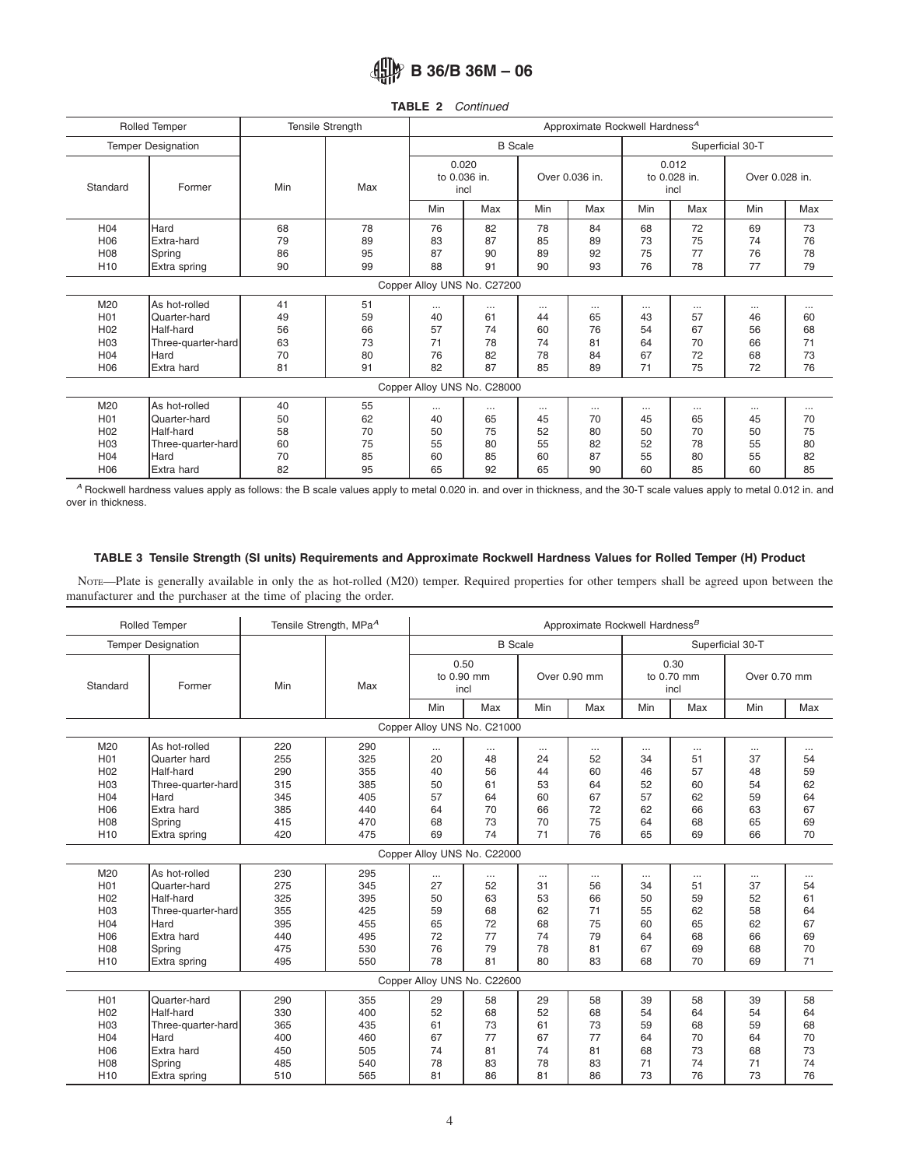<span id="page-3-0"></span>

| TABLE 2 |  | Continued |
|---------|--|-----------|
|---------|--|-----------|

|                                                                                                     | Rolled Temper                                                                                 | <b>Tensile Strength</b>          |                                  |                                |                                        |                                        | Approximate Rockwell Hardness <sup>A</sup> |                                        |                                        |                                        |                                |  |
|-----------------------------------------------------------------------------------------------------|-----------------------------------------------------------------------------------------------|----------------------------------|----------------------------------|--------------------------------|----------------------------------------|----------------------------------------|--------------------------------------------|----------------------------------------|----------------------------------------|----------------------------------------|--------------------------------|--|
|                                                                                                     | <b>Temper Designation</b>                                                                     |                                  |                                  |                                | <b>B</b> Scale                         |                                        |                                            |                                        |                                        | Superficial 30-T                       |                                |  |
| Former<br>Standard                                                                                  |                                                                                               | Min                              | Max                              | 0.020<br>to 0.036 in.<br>incl  |                                        | Over 0.036 in.                         |                                            | 0.012<br>to 0.028 in.<br>incl          |                                        | Over 0.028 in.                         |                                |  |
|                                                                                                     |                                                                                               |                                  |                                  | Min                            | Max                                    | Min                                    | Max                                        | Min                                    | Max                                    | Min                                    | Max                            |  |
| H <sub>04</sub><br>H <sub>06</sub><br>H <sub>08</sub>                                               | Hard<br>Extra-hard<br>Spring                                                                  | 68<br>79<br>86                   | 78<br>89<br>95                   | 76<br>83<br>87                 | 82<br>87<br>90                         | 78<br>85<br>89                         | 84<br>89<br>92                             | 68<br>73<br>75                         | 72<br>75<br>77                         | 69<br>74<br>76                         | 73<br>76<br>78                 |  |
| H <sub>10</sub>                                                                                     | Extra spring                                                                                  | 90                               | 99                               | 88                             | 91                                     | 90                                     | 93                                         | 76                                     | 78                                     | 77                                     | 79                             |  |
|                                                                                                     |                                                                                               |                                  |                                  |                                | Copper Alloy UNS No. C27200            |                                        |                                            |                                        |                                        |                                        |                                |  |
| M20<br>H <sub>0</sub> 1<br>H <sub>02</sub><br>H <sub>03</sub><br>H <sub>04</sub><br>H <sub>06</sub> | As hot-rolled<br>Quarter-hard<br>Half-hard<br>Three-quarter-hard<br><b>Hard</b><br>Extra hard | 41<br>49<br>56<br>63<br>70<br>81 | 51<br>59<br>66<br>73<br>80<br>91 | <br>40<br>57<br>71<br>76<br>82 | $\cdots$<br>61<br>74<br>78<br>82<br>87 | $\cdots$<br>44<br>60<br>74<br>78<br>85 | $\cdots$<br>65<br>76<br>81<br>84<br>89     | $\cdots$<br>43<br>54<br>64<br>67<br>71 | $\cdots$<br>57<br>67<br>70<br>72<br>75 | $\cdots$<br>46<br>56<br>66<br>68<br>72 | <br>60<br>68<br>71<br>73<br>76 |  |
|                                                                                                     |                                                                                               |                                  |                                  |                                | Copper Alloy UNS No. C28000            |                                        |                                            |                                        |                                        |                                        |                                |  |
| M20<br>H <sub>0</sub> 1<br>H <sub>02</sub><br>H <sub>03</sub>                                       | As hot-rolled<br>Quarter-hard<br>Half-hard<br>Three-quarter-hard                              | 40<br>50<br>58<br>60             | 55<br>62<br>70<br>75             | <br>40<br>50<br>55             | $\cdots$<br>65<br>75<br>80             | $\cdots$<br>45<br>52<br>55             | $\cdots$<br>70<br>80<br>82                 | $\cdots$<br>45<br>50<br>52             | $\cdots$<br>65<br>70<br>78             | $\cdots$<br>45<br>50<br>55             | <br>70<br>75<br>80             |  |
| H <sub>04</sub><br>H <sub>06</sub>                                                                  | Hard<br>Extra hard                                                                            | 70<br>82                         | 85<br>95                         | 60<br>65                       | 85<br>92                               | 60<br>65                               | 87<br>90                                   | 55<br>60                               | 80<br>85                               | 55<br>60                               | 82<br>85                       |  |

*<sup>A</sup>* Rockwell hardness values apply as follows: the B scale values apply to metal 0.020 in. and over in thickness, and the 30-T scale values apply to metal 0.012 in. and over in thickness.

### **TABLE 3 Tensile Strength (SI units) Requirements and Approximate Rockwell Hardness Values for Rolled Temper (H) Product**

NOTE—Plate is generally available in only the as hot-rolled (M20) temper. Required properties for other tempers shall be agreed upon between the manufacturer and the purchaser at the time of placing the order.

|                 | Rolled Temper             | Tensile Strength, MPa <sup>A</sup> |     |          |                             |     | Approximate Rockwell Hardness <sup>B</sup> |          |                            |                  |          |
|-----------------|---------------------------|------------------------------------|-----|----------|-----------------------------|-----|--------------------------------------------|----------|----------------------------|------------------|----------|
|                 | <b>Temper Designation</b> |                                    |     |          | <b>B</b> Scale              |     |                                            |          |                            | Superficial 30-T |          |
| Standard        | Former                    | Min                                | Max | incl     | 0.50<br>to 0.90 mm          |     | Over 0.90 mm                               |          | 0.30<br>to 0.70 mm<br>incl | Over 0.70 mm     |          |
|                 |                           |                                    |     | Min      | Max                         | Min | Max                                        | Min      | Max                        | Min              | Max      |
|                 |                           |                                    |     |          | Copper Alloy UNS No. C21000 |     |                                            |          |                            |                  |          |
| M20             | As hot-rolled             | 220                                | 290 | $\cdots$ | $\cdots$                    |     | $\cdots$                                   | $\cdots$ |                            | $\cdots$         | $\cdots$ |
| H <sub>01</sub> | Quarter hard              | 255                                | 325 | 20       | 48                          | 24  | 52                                         | 34       | 51                         | 37               | 54       |
| H <sub>02</sub> | Half-hard                 | 290                                | 355 | 40       | 56                          | 44  | 60                                         | 46       | 57                         | 48               | 59       |
| H <sub>03</sub> | Three-quarter-hard        | 315                                | 385 | 50       | 61                          | 53  | 64                                         | 52       | 60                         | 54               | 62       |
| H04             | Hard                      | 345                                | 405 | 57       | 64                          | 60  | 67                                         | 57       | 62                         | 59               | 64       |
| H06             | Extra hard                | 385                                | 440 | 64       | 70                          | 66  | 72                                         | 62       | 66                         | 63               | 67       |
| H08             | Spring                    | 415                                | 470 | 68       | 73                          | 70  | 75                                         | 64       | 68                         | 65               | 69       |
| H <sub>10</sub> | Extra spring              | 420                                | 475 | 69       | 74                          | 71  | 76                                         | 65       | 69                         | 66               | 70       |
|                 |                           |                                    |     |          | Copper Alloy UNS No. C22000 |     |                                            |          |                            |                  |          |
| M20             | As hot-rolled             | 230                                | 295 | $\cdots$ | $\cdots$                    |     | $\cdots$                                   | $\cdots$ |                            | $\cdots$         | $\cdots$ |
| H <sub>01</sub> | Quarter-hard              | 275                                | 345 | 27       | 52                          | 31  | 56                                         | 34       | 51                         | 37               | 54       |
| H <sub>02</sub> | Half-hard                 | 325                                | 395 | 50       | 63                          | 53  | 66                                         | 50       | 59                         | 52               | 61       |
| H <sub>03</sub> | Three-quarter-hard        | 355                                | 425 | 59       | 68                          | 62  | 71                                         | 55       | 62                         | 58               | 64       |
| H <sub>04</sub> | Hard                      | 395                                | 455 | 65       | 72                          | 68  | 75                                         | 60       | 65                         | 62               | 67       |
| H06             | Extra hard                | 440                                | 495 | 72       | 77                          | 74  | 79                                         | 64       | 68                         | 66               | 69       |
| H <sub>08</sub> | Spring                    | 475                                | 530 | 76       | 79                          | 78  | 81                                         | 67       | 69                         | 68               | 70       |
| H <sub>10</sub> | Extra spring              | 495                                | 550 | 78       | 81                          | 80  | 83                                         | 68       | 70                         | 69               | 71       |
|                 |                           |                                    |     |          | Copper Alloy UNS No. C22600 |     |                                            |          |                            |                  |          |
| H <sub>01</sub> | Quarter-hard              | 290                                | 355 | 29       | 58                          | 29  | 58                                         | 39       | 58                         | 39               | 58       |
| H <sub>02</sub> | Half-hard                 | 330                                | 400 | 52       | 68                          | 52  | 68                                         | 54       | 64                         | 54               | 64       |
| H <sub>03</sub> | Three-quarter-hard        | 365                                | 435 | 61       | 73                          | 61  | 73                                         | 59       | 68                         | 59               | 68       |
| H <sub>04</sub> | Hard                      | 400                                | 460 | 67       | 77                          | 67  | 77                                         | 64       | 70                         | 64               | 70       |
| H <sub>06</sub> | Extra hard                | 450                                | 505 | 74       | 81                          | 74  | 81                                         | 68       | 73                         | 68               | 73       |
| <b>H08</b>      | Spring                    | 485                                | 540 | 78       | 83                          | 78  | 83                                         | 71       | 74                         | 71               | 74       |
| H <sub>10</sub> | Extra spring              | 510                                | 565 | 81       | 86                          | 81  | 86                                         | 73       | 76                         | 73               | 76       |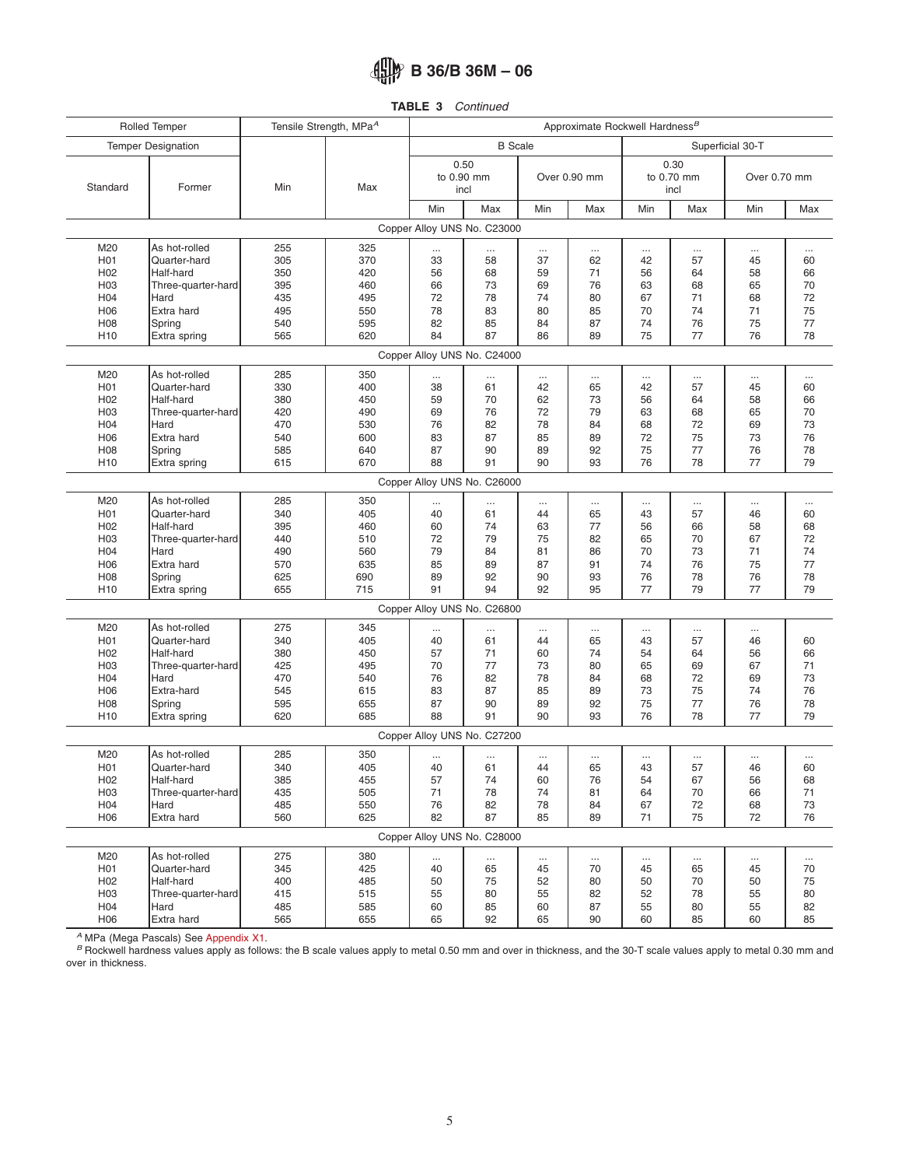**TABLE 3** *Continued*

|                  | Rolled Temper               | Tensile Strength, MPa <sup>A</sup> |     |          |                             |          |              | Approximate Rockwell Hardness <sup>B</sup> |                            |                  |          |
|------------------|-----------------------------|------------------------------------|-----|----------|-----------------------------|----------|--------------|--------------------------------------------|----------------------------|------------------|----------|
|                  | <b>Temper Designation</b>   |                                    |     |          | <b>B</b> Scale              |          |              |                                            |                            | Superficial 30-T |          |
| Standard         | Former                      | Min                                | Max | incl     | 0.50<br>to 0.90 mm          |          | Over 0.90 mm |                                            | 0.30<br>to 0.70 mm<br>incl | Over 0.70 mm     |          |
|                  |                             |                                    |     | Min      | Max                         | Min      | Max          | Min                                        | Max                        | Min              | Max      |
|                  |                             |                                    |     |          | Copper Alloy UNS No. C23000 |          |              |                                            |                            |                  |          |
| M20              | As hot-rolled               | 255                                | 325 |          | $\cdots$                    |          |              |                                            | $\cdots$                   | $\cdots$         | $\cdots$ |
| H <sub>0</sub> 1 | Quarter-hard                | 305                                | 370 | 33       | 58                          | 37       | 62           | 42                                         | 57                         | 45               | 60       |
| H <sub>02</sub>  | Half-hard                   | 350                                | 420 | 56       | 68                          | 59       | 71           | 56                                         | 64                         | 58               | 66       |
| H <sub>03</sub>  | Three-quarter-hard          | 395                                | 460 | 66       | 73                          | 69       | 76           | 63                                         | 68                         | 65               | 70       |
| H04              | Hard                        | 435                                | 495 | 72       | 78                          | 74       | 80           | 67                                         | 71                         | 68               | 72       |
| H <sub>06</sub>  | Extra hard                  | 495                                | 550 | 78       | 83                          | 80       | 85           | 70                                         | 74                         | 71               | 75       |
| H <sub>0</sub> 8 | Spring                      | 540                                | 595 | 82       | 85                          | 84       | 87           | 74                                         | 76                         | 75               | 77       |
| H <sub>10</sub>  | Extra spring                | 565                                | 620 | 84       | 87                          | 86       | 89           | 75                                         | 77                         | 76               | 78       |
|                  |                             |                                    |     |          | Copper Alloy UNS No. C24000 |          |              |                                            |                            |                  |          |
| M20              | As hot-rolled               | 285                                | 350 |          | $\cdots$                    |          |              |                                            |                            | $\cdots$         | $\cdots$ |
| H <sub>0</sub> 1 | Quarter-hard                | 330                                | 400 | 38       | 61                          | 42       | 65           | 42                                         | 57                         | 45               | 60       |
| H <sub>02</sub>  | Half-hard                   | 380                                | 450 | 59       | 70                          | 62       | 73           | 56                                         | 64                         | 58               | 66       |
| H <sub>03</sub>  | Three-quarter-hard          | 420                                | 490 | 69       | 76                          | 72       | 79           | 63                                         | 68                         | 65               | 70       |
| H <sub>04</sub>  | Hard                        | 470                                | 530 | 76       | 82                          | 78       | 84           | 68                                         | 72                         | 69               | 73       |
| H06              | Extra hard                  | 540                                | 600 | 83       | 87                          | 85       | 89           | 72                                         | 75                         | 73               | 76       |
| H <sub>08</sub>  | Spring                      | 585                                | 640 | 87       | 90                          | 89       | 92           | 75                                         | 77                         | 76               | 78       |
| H <sub>10</sub>  | Extra spring                | 615                                | 670 | 88       | 91                          | 90       | 93           | 76                                         | 78                         | 77               | 79       |
|                  | Copper Alloy UNS No. C26000 |                                    |     |          |                             |          |              |                                            |                            |                  |          |
| M20              | As hot-rolled               | 285                                | 350 |          | $\cdots$                    |          |              | $\ddotsc$                                  |                            |                  | $\cdots$ |
| H <sub>0</sub> 1 | Quarter-hard                | 340                                | 405 | 40       | 61                          | 44       | 65           | 43                                         | 57                         | 46               | 60       |
| H <sub>02</sub>  | Half-hard                   | 395                                | 460 | 60       | 74                          | 63       | 77           | 56                                         | 66                         | 58               | 68       |
| H <sub>03</sub>  | Three-quarter-hard          | 440                                | 510 | 72       | 79                          | 75       | 82           | 65                                         | 70                         | 67               | 72       |
| H04              | Hard                        | 490                                | 560 | 79       | 84                          | 81       | 86           | 70                                         | 73                         | 71               | 74       |
| H <sub>06</sub>  | Extra hard                  | 570                                | 635 | 85       | 89                          | 87       | 91           | 74                                         | 76                         | 75               | 77       |
| H <sub>08</sub>  | Spring                      | 625                                | 690 | 89       | 92                          | 90       | 93           | 76                                         | 78                         | 76               | 78       |
| H <sub>10</sub>  | Extra spring                | 655                                | 715 | 91       | 94                          | 92       | 95           | 77                                         | 79                         | 77               | 79       |
|                  |                             |                                    |     |          | Copper Alloy UNS No. C26800 |          |              |                                            |                            |                  |          |
| M20              | As hot-rolled               | 275                                | 345 | $\cdots$ | $\cdots$                    |          |              |                                            | $\cdots$                   |                  |          |
| H <sub>0</sub> 1 | Quarter-hard                | 340                                | 405 | 40       | 61                          | 44       | 65           | 43                                         | 57                         | 46               | 60       |
| H <sub>02</sub>  | Half-hard                   | 380                                | 450 | 57       | 71                          | 60       | 74           | 54                                         | 64                         | 56               | 66       |
| H <sub>03</sub>  | Three-quarter-hard          | 425                                | 495 | 70       | 77                          | 73       | 80           | 65                                         | 69                         | 67               | 71       |
| H04              | Hard                        | 470                                | 540 | 76       | 82                          | 78       | 84           | 68                                         | 72                         | 69               | 73       |
| H <sub>06</sub>  | Extra-hard                  | 545                                | 615 | 83       | 87                          | 85       | 89           | 73                                         | 75                         | 74               | 76       |
| H <sub>0</sub> 8 | Spring                      | 595                                | 655 | 87       | 90                          | 89       | 92           | 75                                         | 77                         | 76               | 78       |
| H <sub>10</sub>  | Extra spring                | 620                                | 685 | 88       | 91                          | 90       | 93           | 76                                         | 78                         | 77               | 79       |
|                  |                             |                                    |     |          | Copper Alloy UNS No. C27200 |          |              |                                            |                            |                  |          |
| M20              | As hot-rolled               | 285                                | 350 |          | $\cdots$                    |          |              |                                            |                            |                  |          |
| H <sub>0</sub> 1 | Quarter-hard                | 340                                | 405 | 40       | 61                          | 44       | 65           | 43                                         | 57                         | 46               | 60       |
| H <sub>02</sub>  | Half-hard                   | 385                                | 455 | 57       | 74                          | 60       | 76           | 54                                         | 67                         | 56               | 68       |
| H <sub>03</sub>  | Three-quarter-hard          | 435                                | 505 | 71       | 78                          | 74       | 81           | 64                                         | 70                         | 66               | 71       |
| H04              | Hard                        | 485                                | 550 | 76       | 82                          | 78       | 84           | 67                                         | 72                         | 68               | 73       |
| H06              | Extra hard                  | 560                                | 625 | 82       | 87                          | 85       | 89           | 71                                         | 75                         | 72               | 76       |
|                  |                             |                                    |     |          | Copper Alloy UNS No. C28000 |          |              |                                            |                            |                  |          |
| M20              | As hot-rolled               | 275                                | 380 | $\cdots$ | $\cdots$                    | $\ldots$ |              | $\cdots$                                   | $\cdots$                   | $\cdots$         |          |
| H01              | Quarter-hard                | 345                                | 425 | 40       | 65                          | 45       | 70           | 45                                         | 65                         | 45               | 70       |
| H <sub>02</sub>  | Half-hard                   | 400                                | 485 | 50       | 75                          | 52       | 80           | 50                                         | 70                         | 50               | 75       |
| H <sub>03</sub>  | Three-quarter-hard          | 415                                | 515 | 55       | 80                          | 55       | 82           | 52                                         | 78                         | 55               | 80       |
| H04              | Hard                        | 485                                | 585 | 60       | 85                          | 60       | 87           | 55                                         | 80                         | 55               | 82       |
| H06              | Extra hard                  | 565                                | 655 | 65       | 92                          | 65       | 90           | 60                                         | 85                         | 60               | 85       |

<sup>A</sup> MPa (Mega Pascals) See [Appendix X1.](#page-7-0)<br><sup>B</sup> Rockwell hardness values apply as follows: the B scale values apply to metal 0.50 mm and over in thickness, and the 30-T scale values apply to metal 0.30 mm and over in thickness.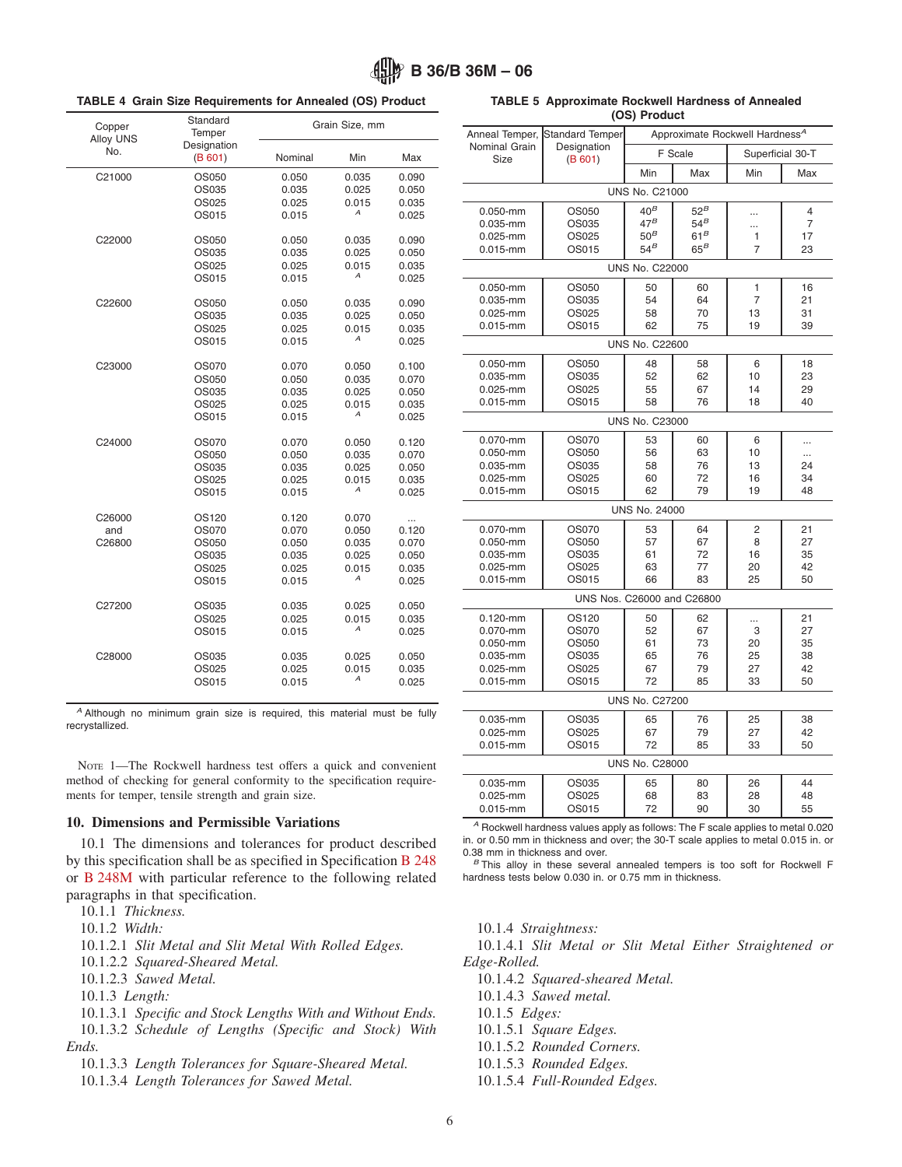|  |  |  | <b>TABLE 4 Grain Size Requirements for Annealed (OS) Product</b> |  |  |  |  |
|--|--|--|------------------------------------------------------------------|--|--|--|--|
|--|--|--|------------------------------------------------------------------|--|--|--|--|

#### Copper Alloy UNS No. Standard **Temper** Designation [\(B 601\)](#page-5-4) Grain Size, mm Nominal Min Max C21000 OS050 0.050 0.035 0.090 OS035 0.035 0.025 0.050 OS025 OS015 0.015 *<sup>A</sup>* 0.025 C22000 OS050 0.050 0.035 0.090 0.035 0.025 0.050<br>0.025 0.025 0.015 0.035 0.015 OS015 0.015 *<sup>A</sup>* 0.025 C22600 OS050 0.050 0.035 0.090 OS035 0.035 0.025 0.050 OS025 0.025 0.015 0.035 OS015 0.015 *<sup>A</sup>* 0.025 C23000 OS070 0.070 0.050 0.100 OS050 0.050 0.035 0.070 OS035 0.035 0.025 0.050 OS025 OS015 0.015 *<sup>A</sup>* 0.025 C24000 OS070 0.070 0.050 0.120 OS050 0.050 0.035 0.070 OS035 0.035 0.025 0.050 OS025 0.025 0.015 0.035 OS015 0.015 *<sup>A</sup>* 0.025 C26000 0S120 0.120 0.070 ...<br>and 0S070 0.070 0.050 0.120 and OS070 0.070 0.050 0.120 C26800 OS050 0.050 0.035 0.070 OS035 0.035 0.025 0.050 OS025 OS015 0.015 *<sup>A</sup>* 0.025 C27200 OS035 0.035 0.025 0.050 0.025 0.015 0.035<br>
0.015 A 0.025 OS015 0.015 *<sup>A</sup>* 0.025 C28000 OS035 0.035 0.025 0.050 0.025 0.015 0.035<br>
0.015 A 0.025 OS015 0.015 *<sup>A</sup>* 0.025

*<sup>A</sup>* Although no minimum grain size is required, this material must be fully recrystallized.

NOTE 1—The Rockwell hardness test offers a quick and convenient method of checking for general conformity to the specification requirements for temper, tensile strength and grain size.

#### **10. Dimensions and Permissible Variations**

10.1 The dimensions and tolerances for product described by this specification shall be as specified in Specification [B 248](#page-0-9) or [B 248M](#page-0-10) with particular reference to the following related paragraphs in that specification.

10.1.1 *Thickness.*

10.1.2 *Width:*

10.1.2.1 *Slit Metal and Slit Metal With Rolled Edges.*

10.1.2.2 *Squared-Sheared Metal.*

10.1.2.3 *Sawed Metal.*

- 10.1.3 *Length:*
- 10.1.3.1 *Specific and Stock Lengths With and Without Ends.*
- 10.1.3.2 *Schedule of Lengths (Specific and Stock) With Ends.*

10.1.3.3 *Length Tolerances for Square-Sheared Metal.*

10.1.3.4 *Length Tolerances for Sawed Metal.*

<span id="page-5-4"></span><span id="page-5-3"></span>

|  | <b>TABLE 5 Approximate Rockwell Hardness of Annealed</b> |  |
|--|----------------------------------------------------------|--|
|  | (OS) Product                                             |  |

<span id="page-5-5"></span>

| Anneal Temper,           | Standard Temper            |                       | Approximate Rockwell Hardness <sup>A</sup> |                      |           |  |  |  |  |  |  |
|--------------------------|----------------------------|-----------------------|--------------------------------------------|----------------------|-----------|--|--|--|--|--|--|
| Nominal Grain            | Designation                |                       | F Scale                                    | Superficial 30-T     |           |  |  |  |  |  |  |
| <b>Size</b>              | (B 601)                    | Min                   | Max                                        | Min                  | Max       |  |  |  |  |  |  |
|                          |                            | <b>UNS No. C21000</b> |                                            |                      |           |  |  |  |  |  |  |
| $0.050 - mm$             | OS050                      | $40^B$                | $52^B$                                     |                      | 4         |  |  |  |  |  |  |
| $0.035 - mm$             | OS035                      | $47^B$                | $54^B$                                     |                      | 7         |  |  |  |  |  |  |
| 0.025-mm                 | OS025                      | $50^B$                | 61 <sup>B</sup>                            | 1                    | 17        |  |  |  |  |  |  |
| $0.015 - mm$             | OS015                      | $54^B$                | $65^B$                                     | $\overline{7}$       | 23        |  |  |  |  |  |  |
|                          |                            | <b>UNS No. C22000</b> |                                            |                      |           |  |  |  |  |  |  |
| $0.050 - mm$             | OS050                      | 50                    | 60                                         | 1                    | 16        |  |  |  |  |  |  |
| 0.035-mm<br>$0.025 - mm$ | OS035<br>OS025             | 54<br>58              | 64<br>70                                   | $\overline{7}$<br>13 | 21<br>31  |  |  |  |  |  |  |
| $0.015 - mm$             | OS015                      | 62                    | 75                                         | 19                   | 39        |  |  |  |  |  |  |
|                          | <b>UNS No. C22600</b>      |                       |                                            |                      |           |  |  |  |  |  |  |
| $0.050 - mm$             | OS050                      | 48                    | 58                                         | 6                    | 18        |  |  |  |  |  |  |
| 0.035-mm                 | OS035                      | 52                    | 62                                         | 10                   | 23        |  |  |  |  |  |  |
| 0.025-mm                 | OS025                      | 55                    | 67                                         | 14                   | 29        |  |  |  |  |  |  |
| $0.015 - mm$             | OS015                      | 58                    | 76                                         | 18                   | 40        |  |  |  |  |  |  |
|                          |                            | <b>UNS No. C23000</b> |                                            |                      |           |  |  |  |  |  |  |
| 0.070-mm                 | OS070                      | 53                    | 60                                         | 6                    |           |  |  |  |  |  |  |
| $0.050 - mm$             | OS050                      | 56                    | 63                                         | 10                   | $\ddotsc$ |  |  |  |  |  |  |
| 0.035-mm<br>$0.025 - mm$ | OS035<br>OS025             | 58<br>60              | 76<br>72                                   | 13<br>16             | 24<br>34  |  |  |  |  |  |  |
| $0.015 - mm$             | OS015                      | 62                    | 79                                         | 19                   | 48        |  |  |  |  |  |  |
|                          |                            | <b>UNS No. 24000</b>  |                                            |                      |           |  |  |  |  |  |  |
| 0.070-mm                 | OS070                      | 53                    | 64                                         | 2                    | 21        |  |  |  |  |  |  |
| $0.050 - mm$             | OS050                      | 57                    | 67                                         | 8                    | 27        |  |  |  |  |  |  |
| $0.035 - mm$             | OS035                      | 61                    | 72                                         | 16                   | 35        |  |  |  |  |  |  |
| $0.025 - mm$             | OS025                      | 63                    | 77                                         | 20                   | 42        |  |  |  |  |  |  |
| $0.015 - mm$             | OS015                      | 66                    | 83                                         | 25                   | 50        |  |  |  |  |  |  |
|                          | UNS Nos. C26000 and C26800 |                       |                                            |                      |           |  |  |  |  |  |  |
| $0.120 - mm$             | OS120                      | 50                    | 62                                         |                      | 21        |  |  |  |  |  |  |
| $0.070 - mm$             | OS070<br>OS050             | 52<br>61              | 67                                         | 3                    | 27        |  |  |  |  |  |  |
| 0.050-mm<br>0.035-mm     | OS035                      | 65                    | 73<br>76                                   | 20<br>25             | 35<br>38  |  |  |  |  |  |  |
| $0.025 - mm$             | OS025                      | 67                    | 79                                         | 27                   | 42        |  |  |  |  |  |  |
| $0.015 - mm$             | OS015                      | 72                    | 85                                         | 33                   | 50        |  |  |  |  |  |  |
|                          |                            | <b>UNS No. C27200</b> |                                            |                      |           |  |  |  |  |  |  |
| 0.035-mm                 | OS035                      | 65                    | 76                                         | 25                   | 38        |  |  |  |  |  |  |
| 0.025-mm                 | OS025                      | 67                    | 79                                         | 27                   | 42        |  |  |  |  |  |  |
| $0.015 - mm$             | OS015                      | 72                    | 85                                         | 33                   | 50        |  |  |  |  |  |  |
|                          |                            | <b>UNS No. C28000</b> |                                            |                      |           |  |  |  |  |  |  |
| $0.035 - mm$             | OS035                      | 65                    | 80                                         | 26                   | 44        |  |  |  |  |  |  |
| $0.025 - mm$             | OS025                      | 68                    | 83                                         | 28                   | 48        |  |  |  |  |  |  |
| $0.015 - mm$             | OS015                      | 72                    | 90                                         | 30                   | 55        |  |  |  |  |  |  |

<span id="page-5-0"></span>*<sup>A</sup>* Rockwell hardness values apply as follows: The F scale applies to metal 0.020 in. or 0.50 mm in thickness and over; the 30-T scale applies to metal 0.015 in. or

0.38 mm in thickness and over.<br><sup>B</sup> This alloy in these several annealed tempers is too soft for Rockwell F hardness tests below 0.030 in. or 0.75 mm in thickness

<span id="page-5-2"></span><span id="page-5-1"></span>10.1.4 *Straightness:*

10.1.4.1 *Slit Metal or Slit Metal Either Straightened or Edge-Rolled.*

- 10.1.4.2 *Squared-sheared Metal.*
- 10.1.4.3 *Sawed metal.*
- 10.1.5 *Edges:*
- 10.1.5.1 *Square Edges.*
- 10.1.5.2 *Rounded Corners.*
- 10.1.5.3 *Rounded Edges.*

10.1.5.4 *Full-Rounded Edges.*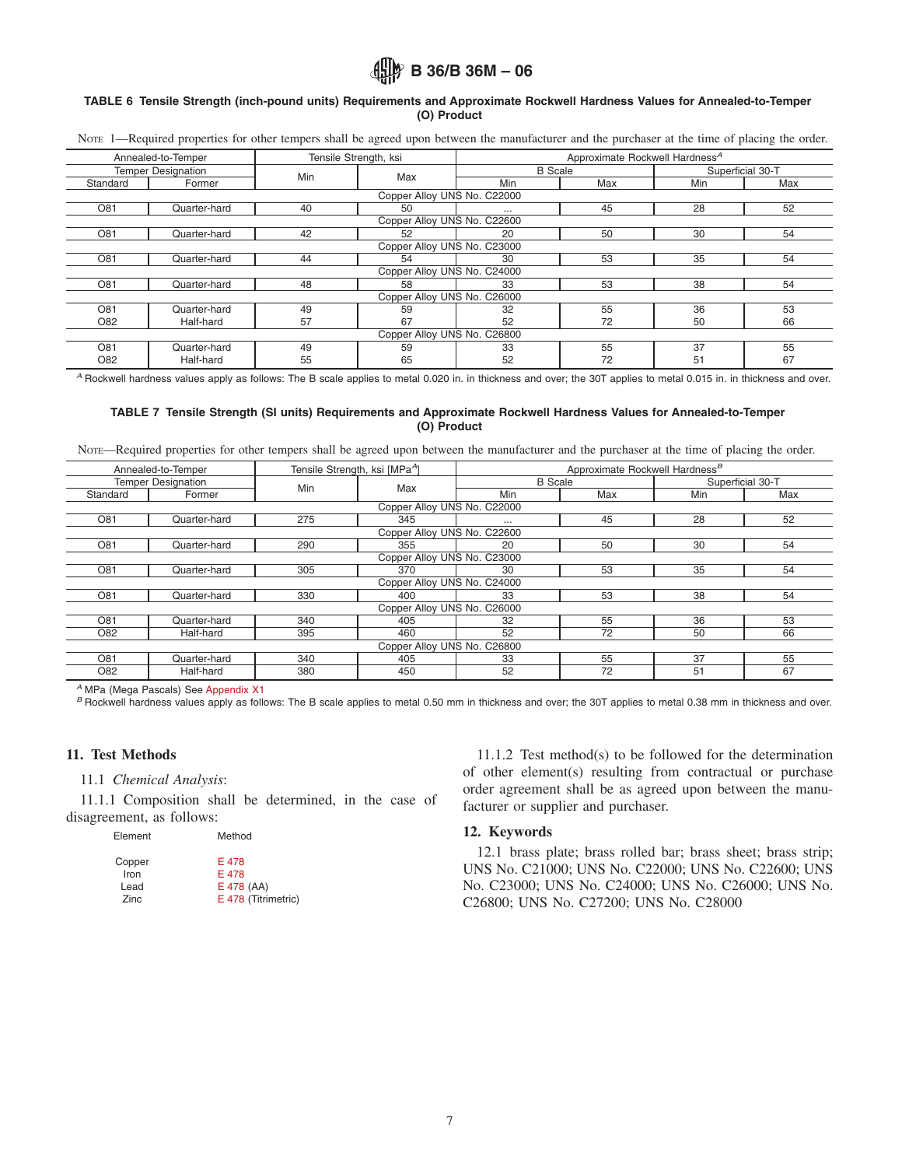## <span id="page-6-4"></span>**ALLY B 36/B 36M - 06**

### **TABLE 6 Tensile Strength (inch-pound units) Requirements and Approximate Rockwell Hardness Values for Annealed-to-Temper (O) Product**

Nore 1—Required properties for other tempers shall be agreed upon between the manufacturer and the purchaser at the time of placing the order.

|                             | Annealed-to-Temper          | Tensile Strength, ksi |                             |                | Approximate Rockwell Hardness <sup>A</sup> |                  |     |  |  |
|-----------------------------|-----------------------------|-----------------------|-----------------------------|----------------|--------------------------------------------|------------------|-----|--|--|
|                             | <b>Temper Designation</b>   | Min                   | Max                         | <b>B</b> Scale |                                            | Superficial 30-T |     |  |  |
| Standard                    | Former                      |                       |                             | Min            | Max                                        | Min              | Max |  |  |
|                             |                             |                       | Copper Alloy UNS No. C22000 |                |                                            |                  |     |  |  |
| O81                         | Quarter-hard                | 40                    | 50                          | $\cdots$       | 45                                         | 28               | 52  |  |  |
| Copper Alloy UNS No. C22600 |                             |                       |                             |                |                                            |                  |     |  |  |
| O81                         | Quarter-hard                | 42                    | 52                          | 20             | 50                                         | 30               | 54  |  |  |
|                             | Copper Alloy UNS No. C23000 |                       |                             |                |                                            |                  |     |  |  |
| O81                         | Quarter-hard                | 44                    | 54                          | 30             | 53                                         | 35               | 54  |  |  |
|                             |                             |                       | Copper Alloy UNS No. C24000 |                |                                            |                  |     |  |  |
| O81                         | Quarter-hard                | 48                    | 58                          | 33             | 53                                         | 38               | 54  |  |  |
|                             |                             |                       | Copper Alloy UNS No. C26000 |                |                                            |                  |     |  |  |
| O81                         | Quarter-hard                | 49                    | 59                          | 32             | 55                                         | 36               | 53  |  |  |
| O82                         | Half-hard                   | 57                    | 67                          | 52             | 72                                         | 50               | 66  |  |  |
|                             |                             |                       | Copper Alloy UNS No. C26800 |                |                                            |                  |     |  |  |
| O81                         | Quarter-hard                | 49                    | 59                          | 33             | 55                                         | 37               | 55  |  |  |
| O82                         | Half-hard                   | 55                    | 65                          | 52             | 72                                         | 51               | 67  |  |  |

*<sup>A</sup>* Rockwell hardness values apply as follows: The B scale applies to metal 0.020 in. in thickness and over; the 30T applies to metal 0.015 in. in thickness and over.

### **TABLE 7 Tensile Strength (SI units) Requirements and Approximate Rockwell Hardness Values for Annealed-to-Temper (O) Product**

NOTE—Required properties for other tempers shall be agreed upon between the manufacturer and the purchaser at the time of placing the order.

| Annealed-to-Temper          |              | Tensile Strength, ksi [MPa <sup>A</sup> ] |     | Approximate Rockwell Hardness <sup>B</sup> |     |                  |     |  |
|-----------------------------|--------------|-------------------------------------------|-----|--------------------------------------------|-----|------------------|-----|--|
| <b>Temper Designation</b>   |              | Min                                       | Max | <b>B</b> Scale                             |     | Superficial 30-T |     |  |
| Standard                    | Former       |                                           |     | Min                                        | Max | <b>Min</b>       | Max |  |
| Copper Alloy UNS No. C22000 |              |                                           |     |                                            |     |                  |     |  |
| O81                         | Quarter-hard | 275                                       | 345 | $\cdots$                                   | 45  | 28               | 52  |  |
| Copper Alloy UNS No. C22600 |              |                                           |     |                                            |     |                  |     |  |
| O81                         | Quarter-hard | 290                                       | 355 | 20                                         | 50  | 30               | 54  |  |
| Copper Alloy UNS No. C23000 |              |                                           |     |                                            |     |                  |     |  |
| O81                         | Quarter-hard | 305                                       | 370 | 30                                         | 53  | 35               | 54  |  |
| Copper Alloy UNS No. C24000 |              |                                           |     |                                            |     |                  |     |  |
| O81                         | Quarter-hard | 330                                       | 400 | 33                                         | 53  | 38               | 54  |  |
| Copper Alloy UNS No. C26000 |              |                                           |     |                                            |     |                  |     |  |
| O81                         | Quarter-hard | 340                                       | 405 | 32                                         | 55  | 36               | 53  |  |
| O82                         | Half-hard    | 395                                       | 460 | 52                                         | 72  | 50               | 66  |  |
| Copper Alloy UNS No. C26800 |              |                                           |     |                                            |     |                  |     |  |
| O81                         | Quarter-hard | 340                                       | 405 | 33                                         | 55  | 37               | 55  |  |
| O82                         | Half-hard    | 380                                       | 450 | 52                                         | 72  | 51               | 67  |  |

<sup>A</sup> MPa (Mega Pascals) See [Appendix X1](#page-7-0)<br><sup>B</sup> Rockwell hardness values apply as follows: The B scale applies to metal 0.50 mm in thickness and over; the 30T applies to metal 0.38 mm in thickness and over.

### **11. Test Methods**

### 11.1 *Chemical Analysis*:

11.1.1 Composition shall be determined, in the case of disagreement, as follows:

| Element | Method              |
|---------|---------------------|
| Copper  | E 478               |
| Iron    | E 478               |
| Lead    | E 478 (AA)          |
| Zinc    | E 478 (Titrimetric) |

<span id="page-6-5"></span>11.1.2 Test method(s) to be followed for the determination of other element(s) resulting from contractual or purchase order agreement shall be as agreed upon between the manufacturer or supplier and purchaser.

### **12. Keywords**

<span id="page-6-3"></span><span id="page-6-2"></span><span id="page-6-1"></span><span id="page-6-0"></span>12.1 brass plate; brass rolled bar; brass sheet; brass strip; UNS No. C21000; UNS No. C22000; UNS No. C22600; UNS No. C23000; UNS No. C24000; UNS No. C26000; UNS No. C26800; UNS No. C27200; UNS No. C28000